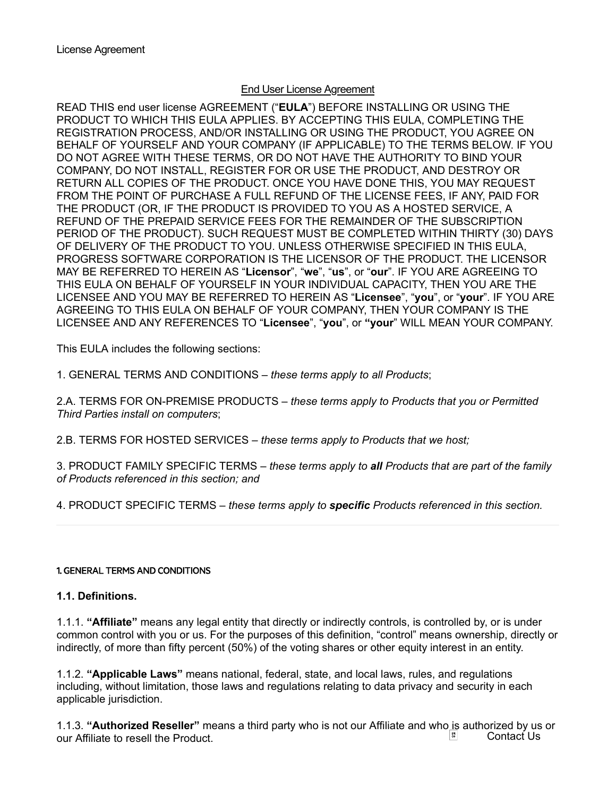### End User License Agreement

READ THIS end user license AGREEMENT ("EULA") BEFORE INSTALLING OR USING THE PRODUCT TO WHICH THIS EULA APPLIES. BY ACCEPTING THIS EULA, COMPLETING THE REGISTRATION PROCESS, AND/OR INSTALLING OR USING THE PRODUCT, YOU AGREE ON BEHALF OF YOURSELF AND YOUR COMPANY (IF APPLICABLE) TO THE TERMS BELOW. IF YOU DO NOT AGREE WITH THESE TERMS, OR DO NOT HAVE THE AUTHORITY TO BIND YOUR COMPANY, DO NOT INSTALL, REGISTER FOR OR USE THE PRODUCT, AND DESTROY OR RETURN ALL COPIES OF THE PRODUCT. ONCE YOU HAVE DONE THIS, YOU MAY REQUEST FROM THE POINT OF PURCHASE A FULL REFUND OF THE LICENSE FEES, IF ANY, PAID FOR THE PRODUCT (OR, IF THE PRODUCT IS PROVIDED TO YOU AS A HOSTED SERVICE, A REFUND OF THE PREPAID SERVICE FEES FOR THE REMAINDER OF THE SUBSCRIPTION PERIOD OF THE PRODUCT). SUCH REQUEST MUST BE COMPLETED WITHIN THIRTY (30) DAYS OF DELIVERY OF THE PRODUCT TO YOU. UNLESS OTHERWISE SPECIFIED IN THIS EULA, PROGRESS SOFTWARE CORPORATION IS THE LICENSOR OF THE PRODUCT. THE LICENSOR MAY BE REFERRED TO HEREIN AS "Licensor", "we", "us", or "our". IF YOU ARE AGREEING TO THIS EULA ON BEHALF OF YOURSELF IN YOUR INDIVIDUAL CAPACITY, THEN YOU ARE THE LICENSEE AND YOU MAY BE REFERRED TO HEREIN AS "Licensee", "you", or "your". IF YOU ARE AGREEING TO THIS EULA ON BEHALF OF YOUR COMPANY, THEN YOUR COMPANY IS THE LICENSEE AND ANY REFERENCES TO "Licensee", "you", or "your" WILL MEAN YOUR COMPANY.

This EULA includes the following sections:

1. GENERAL TERMS AND CONDITIONS – these terms apply to all Products;

2.A. TERMS FOR ON-PREMISE PRODUCTS – these terms apply to Products that you or Permitted Third Parties install on computers;

2.B. TERMS FOR HOSTED SERVICES – these terms apply to Products that we host;

3. PRODUCT FAMILY SPECIFIC TERMS – these terms apply to all Products that are part of the family of Products referenced in this section; and

4. PRODUCT SPECIFIC TERMS – these terms apply to **specific** Products referenced in this section.

1. GENERAL TERMS AND CONDITIONS

### 1.1. Definitions.

1.1.1. "**Affiliate**" means any legal entity that directly or indirectly controls, is controlled by, or is under common control with you or us. For the purposes of this definition, "control" means ownership, directly or indirectly, of more than fifty percent (50%) of the voting shares or other equity interest in an entity.

1.1.2. "Applicable Laws" means national, federal, state, and local laws, rules, and regulations including, without limitation, those laws and regulations relating to data privacy and security in each applicable jurisdiction.

1.1.3. **"Authorized Reseller"** means a third party who is not our Affiliate and who is authorized by us or our Affiliate to resell the Product our Affiliate to resell the Product.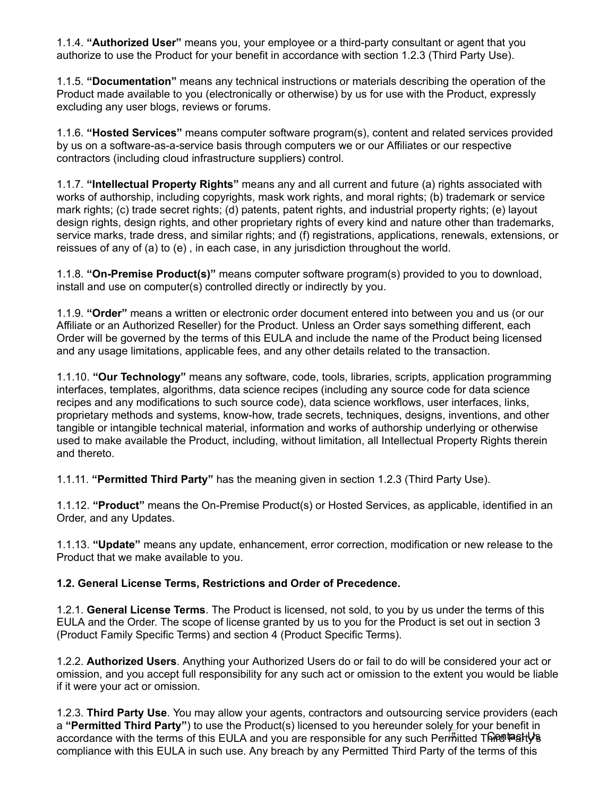1.1.4. "**Authorized User**" means you, your employee or a third-party consultant or agent that you authorize to use the Product for your benefit in accordance with section 1.2.3 (Third Party Use).

1.1.5. "Documentation" means any technical instructions or materials describing the operation of the Product made available to you (electronically or otherwise) by us for use with the Product, expressly excluding any user blogs, reviews or forums.

1.1.6. "Hosted Services" means computer software program(s), content and related services provided by us on a software-as-a-service basis through computers we or our Affiliates or our respective contractors (including cloud infrastructure suppliers) control.

1.1.7. "Intellectual Property Rights" means any and all current and future (a) rights associated with works of authorship, including copyrights, mask work rights, and moral rights; (b) trademark or service mark rights; (c) trade secret rights; (d) patents, patent rights, and industrial property rights; (e) layout design rights, design rights, and other proprietary rights of every kind and nature other than trademarks, service marks, trade dress, and similar rights; and (f) registrations, applications, renewals, extensions, or reissues of any of (a) to (e) , in each case, in any jurisdiction throughout the world.

1.1.8. "On-Premise Product(s)" means computer software program(s) provided to you to download, install and use on computer(s) controlled directly or indirectly by you.

1.1.9. "Order" means a written or electronic order document entered into between you and us (or our Affiliate or an Authorized Reseller) for the Product. Unless an Order says something different, each Order will be governed by the terms of this EULA and include the name of the Product being licensed and any usage limitations, applicable fees, and any other details related to the transaction.

1.1.10. "Our Technology" means any software, code, tools, libraries, scripts, application programming interfaces, templates, algorithms, data science recipes (including any source code for data science recipes and any modifications to such source code), data science workflows, user interfaces, links, proprietary methods and systems, know-how, trade secrets, techniques, designs, inventions, and other tangible or intangible technical material, information and works of authorship underlying or otherwise used to make available the Product, including, without limitation, all Intellectual Property Rights therein and thereto.

1.1.11. "Permitted Third Party" has the meaning given in section 1.2.3 (Third Party Use).

1.1.12. "Product" means the On-Premise Product(s) or Hosted Services, as applicable, identified in an Order, and any Updates.

1.1.13. "Update" means any update, enhancement, error correction, modification or new release to the Product that we make available to you.

### 1.2. General License Terms, Restrictions and Order of Precedence.

1.2.1. General License Terms. The Product is licensed, not sold, to you by us under the terms of this EULA and the Order. The scope of license granted by us to you for the Product is set out in section 3 (Product Family Specific Terms) and section 4 (Product Specific Terms).

1.2.2. Authorized Users. Anything your Authorized Users do or fail to do will be considered your act or omission, and you accept full responsibility for any such act or omission to the extent you would be liable if it were your act or omission.

1.2.3. Third Party Use. You may allow your agents, contractors and outsourcing service providers (each a "Permitted Third Party") to use the Product(s) licensed to you hereunder solely for your benefit in accordance with the terms of this EULA and you are responsible for any such Permitted Third Party's compliance with this EULA in such use. Any breach by any Permitted Third Party of the terms of this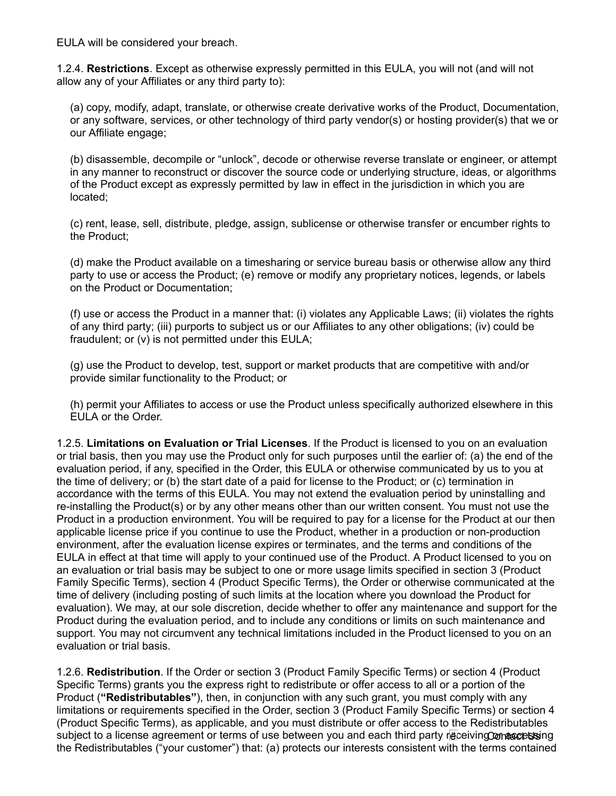EULA will be considered your breach.

1.2.4. Restrictions. Except as otherwise expressly permitted in this EULA, you will not (and will not allow any of your Affiliates or any third party to):

(a) copy, modify, adapt, translate, or otherwise create derivative works of the Product, Documentation, or any software, services, or other technology of third party vendor(s) or hosting provider(s) that we or our Affiliate engage;

(b) disassemble, decompile or "unlock", decode or otherwise reverse translate or engineer, or attempt in any manner to reconstruct or discover the source code or underlying structure, ideas, or algorithms of the Product except as expressly permitted by law in effect in the jurisdiction in which you are located;

(c) rent, lease, sell, distribute, pledge, assign, sublicense or otherwise transfer or encumber rights to the Product;

(d) make the Product available on a timesharing or service bureau basis or otherwise allow any third party to use or access the Product; (e) remove or modify any proprietary notices, legends, or labels on the Product or Documentation;

(f) use or access the Product in a manner that: (i) violates any Applicable Laws; (ii) violates the rights of any third party; (iii) purports to subject us or our Affiliates to any other obligations; (iv) could be fraudulent; or (v) is not permitted under this EULA;

(g) use the Product to develop, test, support or market products that are competitive with and/or provide similar functionality to the Product; or

(h) permit your Affiliates to access or use the Product unless specifically authorized elsewhere in this EULA or the Order.

1.2.5. Limitations on Evaluation or Trial Licenses. If the Product is licensed to you on an evaluation or trial basis, then you may use the Product only for such purposes until the earlier of: (a) the end of the evaluation period, if any, specified in the Order, this EULA or otherwise communicated by us to you at the time of delivery; or (b) the start date of a paid for license to the Product; or (c) termination in accordance with the terms of this EULA. You may not extend the evaluation period by uninstalling and re-installing the Product(s) or by any other means other than our written consent. You must not use the Product in a production environment. You will be required to pay for a license for the Product at our then applicable license price if you continue to use the Product, whether in a production or non-production environment, after the evaluation license expires or terminates, and the terms and conditions of the EULA in effect at that time will apply to your continued use of the Product. A Product licensed to you on an evaluation or trial basis may be subject to one or more usage limits specified in section 3 (Product Family Specific Terms), section 4 (Product Specific Terms), the Order or otherwise communicated at the time of delivery (including posting of such limits at the location where you download the Product for evaluation). We may, at our sole discretion, decide whether to offer any maintenance and support for the Product during the evaluation period, and to include any conditions or limits on such maintenance and support. You may not circumvent any technical limitations included in the Product licensed to you on an evaluation or trial basis.

1.2.6. Redistribution. If the Order or section 3 (Product Family Specific Terms) or section 4 (Product Specific Terms) grants you the express right to redistribute or offer access to all or a portion of the Product ("Redistributables"), then, in conjunction with any such grant, you must comply with any limitations or requirements specified in the Order, section 3 (Product Family Specific Terms) or section 4 (Product Specific Terms), as applicable, and you must distribute or offer access to the Redistributables subject to a license agreement or terms of use between you and each third party receivingΩom**æcess**ing the Redistributables ("your customer") that: (a) protects our interests consistent with the terms contained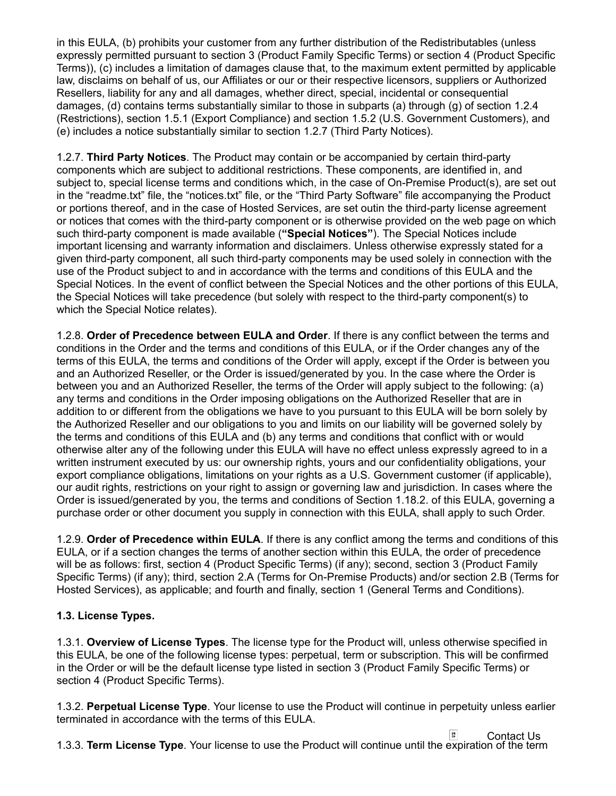in this EULA, (b) prohibits your customer from any further distribution of the Redistributables (unless expressly permitted pursuant to section 3 (Product Family Specific Terms) or section 4 (Product Specific Terms)), (c) includes a limitation of damages clause that, to the maximum extent permitted by applicable law, disclaims on behalf of us, our Affiliates or our or their respective licensors, suppliers or Authorized Resellers, liability for any and all damages, whether direct, special, incidental or consequential damages, (d) contains terms substantially similar to those in subparts (a) through (g) of section 1.2.4 (Restrictions), section 1.5.1 (Export Compliance) and section 1.5.2 (U.S. Government Customers), and (e) includes a notice substantially similar to section 1.2.7 (Third Party Notices).

1.2.7. Third Party Notices. The Product may contain or be accompanied by certain third-party components which are subject to additional restrictions. These components, are identified in, and subject to, special license terms and conditions which, in the case of On-Premise Product(s), are set out in the "readme.txt" file, the "notices.txt" file, or the "Third Party Software" file accompanying the Product or portions thereof, and in the case of Hosted Services, are set outin the third-party license agreement or notices that comes with the third-party component or is otherwise provided on the web page on which such third-party component is made available ("Special Notices"). The Special Notices include important licensing and warranty information and disclaimers. Unless otherwise expressly stated for a given third-party component, all such third-party components may be used solely in connection with the use of the Product subject to and in accordance with the terms and conditions of this EULA and the Special Notices. In the event of conflict between the Special Notices and the other portions of this EULA, the Special Notices will take precedence (but solely with respect to the third-party component(s) to which the Special Notice relates).

1.2.8. Order of Precedence between EULA and Order. If there is any conflict between the terms and conditions in the Order and the terms and conditions of this EULA, or if the Order changes any of the terms of this EULA, the terms and conditions of the Order will apply, except if the Order is between you and an Authorized Reseller, or the Order is issued/generated by you. In the case where the Order is between you and an Authorized Reseller, the terms of the Order will apply subject to the following: (a) any terms and conditions in the Order imposing obligations on the Authorized Reseller that are in addition to or different from the obligations we have to you pursuant to this EULA will be born solely by the Authorized Reseller and our obligations to you and limits on our liability will be governed solely by the terms and conditions of this EULA and (b) any terms and conditions that conflict with or would otherwise alter any of the following under this EULA will have no effect unless expressly agreed to in a written instrument executed by us: our ownership rights, yours and our confidentiality obligations, your export compliance obligations, limitations on your rights as a U.S. Government customer (if applicable), our audit rights, restrictions on your right to assign or governing law and jurisdiction. In cases where the Order is issued/generated by you, the terms and conditions of Section 1.18.2. of this EULA, governing a purchase order or other document you supply in connection with this EULA, shall apply to such Order.

1.2.9. Order of Precedence within EULA. If there is any conflict among the terms and conditions of this EULA, or if a section changes the terms of another section within this EULA, the order of precedence will be as follows: first, section 4 (Product Specific Terms) (if any); second, section 3 (Product Family Specific Terms) (if any); third, section 2.A (Terms for On-Premise Products) and/or section 2.B (Terms for Hosted Services), as applicable; and fourth and finally, section 1 (General Terms and Conditions).

## 1.3. License Types.

1.3.1. Overview of License Types. The license type for the Product will, unless otherwise specified in this EULA, be one of the following license types: perpetual, term or subscription. This will be confirmed in the Order or will be the default license type listed in section 3 (Product Family Specific Terms) or section 4 (Product Specific Terms).

1.3.2. Perpetual License Type. Your license to use the Product will continue in perpetuity unless earlier terminated in accordance with the terms of this EULA.

1.3.3. Term License Type. Your license to use the Product will continue until the expiration of the term Contact Us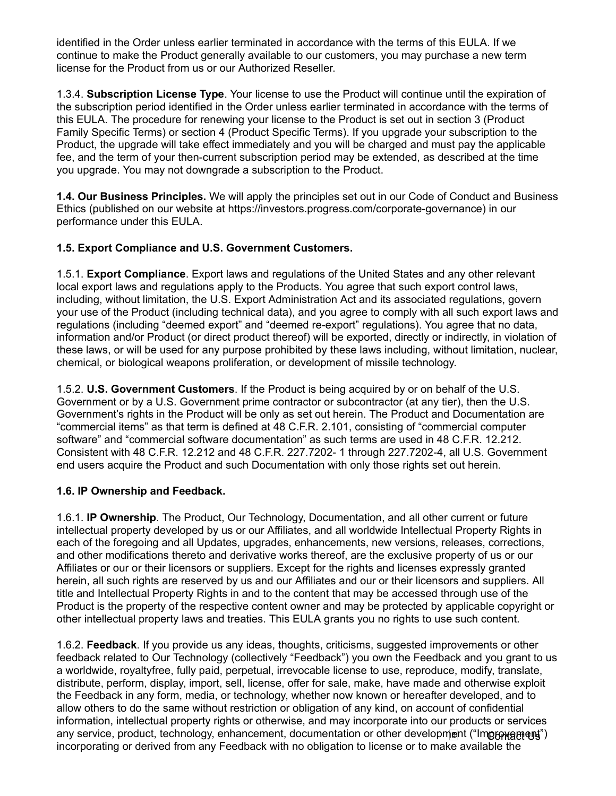identified in the Order unless earlier terminated in accordance with the terms of this EULA. If we continue to make the Product generally available to our customers, you may purchase a new term license for the Product from us or our Authorized Reseller.

1.3.4. Subscription License Type. Your license to use the Product will continue until the expiration of the subscription period identified in the Order unless earlier terminated in accordance with the terms of this EULA. The procedure for renewing your license to the Product is set out in section 3 (Product Family Specific Terms) or section 4 (Product Specific Terms). If you upgrade your subscription to the Product, the upgrade will take effect immediately and you will be charged and must pay the applicable fee, and the term of your then-current subscription period may be extended, as described at the time you upgrade. You may not downgrade a subscription to the Product.

1.4. Our Business Principles. We will apply the principles set out in our Code of Conduct and Business Ethics (published on our website at https://investors.progress.com/corporate-governance) in our performance under this EULA.

## 1.5. Export Compliance and U.S. Government Customers.

1.5.1. **Export Compliance**. Export laws and regulations of the United States and any other relevant local export laws and regulations apply to the Products. You agree that such export control laws, including, without limitation, the U.S. Export Administration Act and its associated regulations, govern your use of the Product (including technical data), and you agree to comply with all such export laws and regulations (including "deemed export" and "deemed re-export" regulations). You agree that no data, information and/or Product (or direct product thereof) will be exported, directly or indirectly, in violation of these laws, or will be used for any purpose prohibited by these laws including, without limitation, nuclear, chemical, or biological weapons proliferation, or development of missile technology.

1.5.2. **U.S. Government Customers**. If the Product is being acquired by or on behalf of the U.S. Government or by a U.S. Government prime contractor or subcontractor (at any tier), then the U.S. Government's rights in the Product will be only as set out herein. The Product and Documentation are "commercial items" as that term is defined at 48 C.F.R. 2.101, consisting of "commercial computer software" and "commercial software documentation" as such terms are used in 48 C.F.R. 12.212. Consistent with 48 C.F.R. 12.212 and 48 C.F.R. 227.7202- 1 through 227.7202-4, all U.S. Government end users acquire the Product and such Documentation with only those rights set out herein.

## 1.6. IP Ownership and Feedback.

1.6.1. IP Ownership. The Product, Our Technology, Documentation, and all other current or future intellectual property developed by us or our Affiliates, and all worldwide Intellectual Property Rights in each of the foregoing and all Updates, upgrades, enhancements, new versions, releases, corrections, and other modifications thereto and derivative works thereof, are the exclusive property of us or our Affiliates or our or their licensors or suppliers. Except for the rights and licenses expressly granted herein, all such rights are reserved by us and our Affiliates and our or their licensors and suppliers. All title and Intellectual Property Rights in and to the content that may be accessed through use of the Product is the property of the respective content owner and may be protected by applicable copyright or other intellectual property laws and treaties. This EULA grants you no rights to use such content.

1.6.2. Feedback. If you provide us any ideas, thoughts, criticisms, suggested improvements or other feedback related to Our Technology (collectively "Feedback") you own the Feedback and you grant to us a worldwide, royaltyfree, fully paid, perpetual, irrevocable license to use, reproduce, modify, translate, distribute, perform, display, import, sell, license, offer for sale, make, have made and otherwise exploit the Feedback in any form, media, or technology, whether now known or hereafter developed, and to allow others to do the same without restriction or obligation of any kind, on account of confidential information, intellectual property rights or otherwise, and may incorporate into our products or services any service, product, technology, enhancement, documentation or other development ("Improngenty") incorporating or derived from any Feedback with no obligation to license or to make available the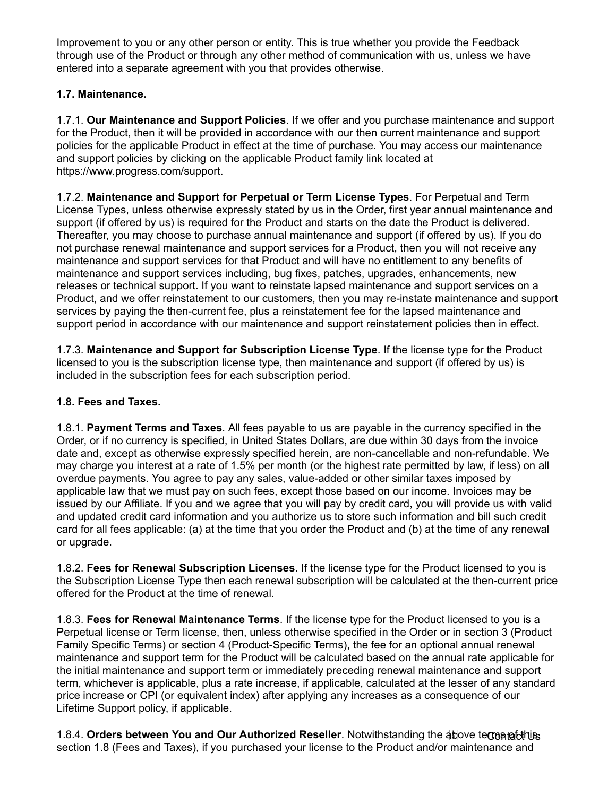Improvement to you or any other person or entity. This is true whether you provide the Feedback through use of the Product or through any other method of communication with us, unless we have entered into a separate agreement with you that provides otherwise.

## 1.7. Maintenance.

1.7.1. Our Maintenance and Support Policies. If we offer and you purchase maintenance and support for the Product, then it will be provided in accordance with our then current maintenance and support policies for the applicable Product in effect at the time of purchase. You may access our maintenance and support policies by clicking on the applicable Product family link located at https://www.progress.com/support.

1.7.2. Maintenance and Support for Perpetual or Term License Types. For Perpetual and Term License Types, unless otherwise expressly stated by us in the Order, first year annual maintenance and support (if offered by us) is required for the Product and starts on the date the Product is delivered. Thereafter, you may choose to purchase annual maintenance and support (if offered by us). If you do not purchase renewal maintenance and support services for a Product, then you will not receive any maintenance and support services for that Product and will have no entitlement to any benefits of maintenance and support services including, bug fixes, patches, upgrades, enhancements, new releases or technical support. If you want to reinstate lapsed maintenance and support services on a Product, and we offer reinstatement to our customers, then you may re-instate maintenance and support services by paying the then-current fee, plus a reinstatement fee for the lapsed maintenance and support period in accordance with our maintenance and support reinstatement policies then in effect.

1.7.3. Maintenance and Support for Subscription License Type. If the license type for the Product licensed to you is the subscription license type, then maintenance and support (if offered by us) is included in the subscription fees for each subscription period.

## 1.8. Fees and Taxes.

1.8.1. Payment Terms and Taxes. All fees payable to us are payable in the currency specified in the Order, or if no currency is specified, in United States Dollars, are due within 30 days from the invoice date and, except as otherwise expressly specified herein, are non-cancellable and non-refundable. We may charge you interest at a rate of 1.5% per month (or the highest rate permitted by law, if less) on all overdue payments. You agree to pay any sales, value-added or other similar taxes imposed by applicable law that we must pay on such fees, except those based on our income. Invoices may be issued by our Affiliate. If you and we agree that you will pay by credit card, you will provide us with valid and updated credit card information and you authorize us to store such information and bill such credit card for all fees applicable: (a) at the time that you order the Product and (b) at the time of any renewal or upgrade.

1.8.2. Fees for Renewal Subscription Licenses. If the license type for the Product licensed to you is the Subscription License Type then each renewal subscription will be calculated at the then-current price offered for the Product at the time of renewal.

1.8.3. Fees for Renewal Maintenance Terms. If the license type for the Product licensed to you is a Perpetual license or Term license, then, unless otherwise specified in the Order or in section 3 (Product Family Specific Terms) or section 4 (Product-Specific Terms), the fee for an optional annual renewal maintenance and support term for the Product will be calculated based on the annual rate applicable for the initial maintenance and support term or immediately preceding renewal maintenance and support term, whichever is applicable, plus a rate increase, if applicable, calculated at the lesser of any standard price increase or CPI (or equivalent index) after applying any increases as a consequence of our Lifetime Support policy, if applicable.

1.8.4. Orders between You and Our Authorized Reseller. Notwithstanding the above temanafolthus section 1.8 (Fees and Taxes), if you purchased your license to the Product and/or maintenance and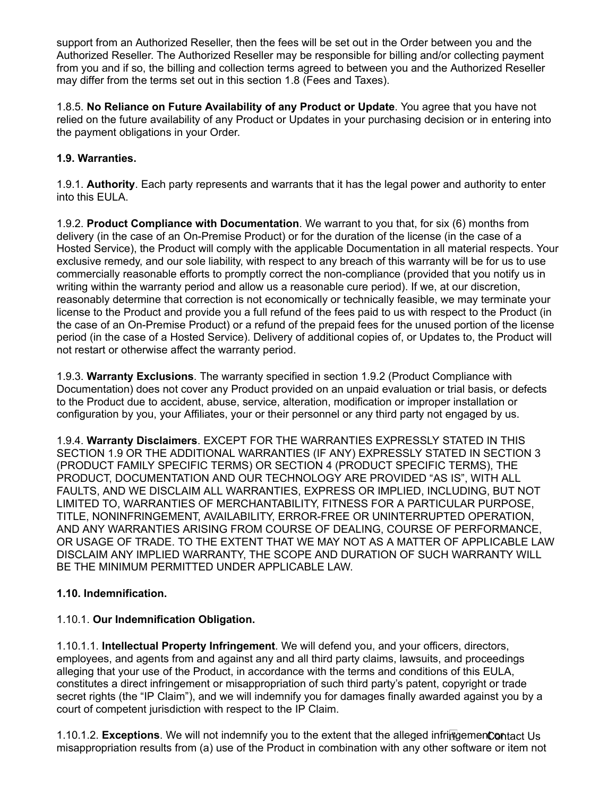support from an Authorized Reseller, then the fees will be set out in the Order between you and the Authorized Reseller. The Authorized Reseller may be responsible for billing and/or collecting payment from you and if so, the billing and collection terms agreed to between you and the Authorized Reseller may differ from the terms set out in this section 1.8 (Fees and Taxes).

1.8.5. No Reliance on Future Availability of any Product or Update. You agree that you have not relied on the future availability of any Product or Updates in your purchasing decision or in entering into the payment obligations in your Order.

## 1.9. Warranties.

1.9.1. **Authority**. Each party represents and warrants that it has the legal power and authority to enter into this EULA.

1.9.2. Product Compliance with Documentation. We warrant to you that, for six (6) months from delivery (in the case of an On-Premise Product) or for the duration of the license (in the case of a Hosted Service), the Product will comply with the applicable Documentation in all material respects. Your exclusive remedy, and our sole liability, with respect to any breach of this warranty will be for us to use commercially reasonable efforts to promptly correct the non-compliance (provided that you notify us in writing within the warranty period and allow us a reasonable cure period). If we, at our discretion, reasonably determine that correction is not economically or technically feasible, we may terminate your license to the Product and provide you a full refund of the fees paid to us with respect to the Product (in the case of an On-Premise Product) or a refund of the prepaid fees for the unused portion of the license period (in the case of a Hosted Service). Delivery of additional copies of, or Updates to, the Product will not restart or otherwise affect the warranty period.

1.9.3. Warranty Exclusions. The warranty specified in section 1.9.2 (Product Compliance with Documentation) does not cover any Product provided on an unpaid evaluation or trial basis, or defects to the Product due to accident, abuse, service, alteration, modification or improper installation or configuration by you, your Affiliates, your or their personnel or any third party not engaged by us.

1.9.4. Warranty Disclaimers. EXCEPT FOR THE WARRANTIES EXPRESSLY STATED IN THIS SECTION 1.9 OR THE ADDITIONAL WARRANTIES (IF ANY) EXPRESSLY STATED IN SECTION 3 (PRODUCT FAMILY SPECIFIC TERMS) OR SECTION 4 (PRODUCT SPECIFIC TERMS), THE PRODUCT, DOCUMENTATION AND OUR TECHNOLOGY ARE PROVIDED "AS IS", WITH ALL FAULTS, AND WE DISCLAIM ALL WARRANTIES, EXPRESS OR IMPLIED, INCLUDING, BUT NOT LIMITED TO, WARRANTIES OF MERCHANTABILITY, FITNESS FOR A PARTICULAR PURPOSE, TITLE, NONINFRINGEMENT, AVAILABILITY, ERROR-FREE OR UNINTERRUPTED OPERATION, AND ANY WARRANTIES ARISING FROM COURSE OF DEALING, COURSE OF PERFORMANCE, OR USAGE OF TRADE. TO THE EXTENT THAT WE MAY NOT AS A MATTER OF APPLICABLE LAW DISCLAIM ANY IMPLIED WARRANTY, THE SCOPE AND DURATION OF SUCH WARRANTY WILL BE THE MINIMUM PERMITTED UNDER APPLICABLE LAW.

## 1.10. Indemnification.

## 1.10.1. Our Indemnification Obligation.

1.10.1.1. Intellectual Property Infringement. We will defend you, and your officers, directors, employees, and agents from and against any and all third party claims, lawsuits, and proceedings alleging that your use of the Product, in accordance with the terms and conditions of this EULA, constitutes a direct infringement or misappropriation of such third party's patent, copyright or trade secret rights (the "IP Claim"), and we will indemnify you for damages finally awarded against you by a court of competent jurisdiction with respect to the IP Claim.

1.10.1.2. Exceptions. We will not indemnify you to the extent that the alleged infringemenContact Us misappropriation results from (a) use of the Product in combination with any other software or item not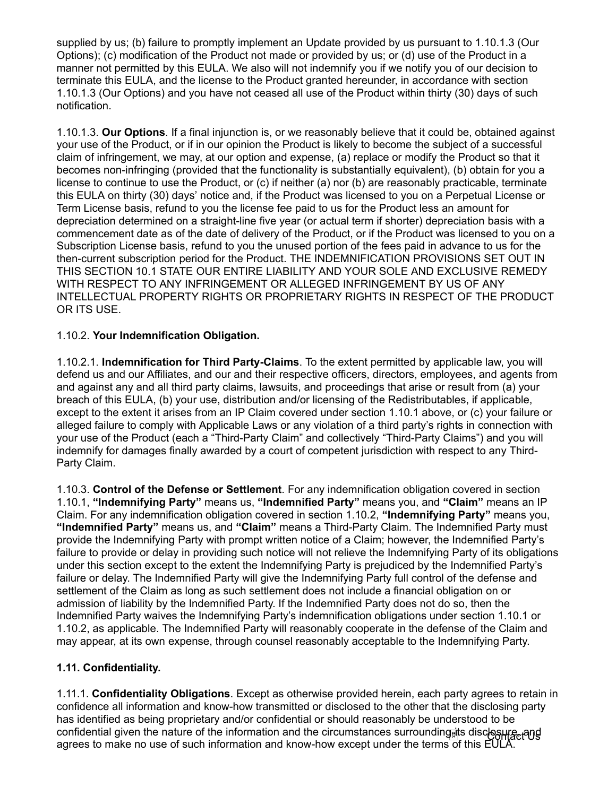supplied by us; (b) failure to promptly implement an Update provided by us pursuant to 1.10.1.3 (Our Options); (c) modification of the Product not made or provided by us; or (d) use of the Product in a manner not permitted by this EULA. We also will not indemnify you if we notify you of our decision to terminate this EULA, and the license to the Product granted hereunder, in accordance with section 1.10.1.3 (Our Options) and you have not ceased all use of the Product within thirty (30) days of such notification.

1.10.1.3. Our Options. If a final injunction is, or we reasonably believe that it could be, obtained against your use of the Product, or if in our opinion the Product is likely to become the subject of a successful claim of infringement, we may, at our option and expense, (a) replace or modify the Product so that it becomes non-infringing (provided that the functionality is substantially equivalent), (b) obtain for you a license to continue to use the Product, or (c) if neither (a) nor (b) are reasonably practicable, terminate this EULA on thirty (30) days' notice and, if the Product was licensed to you on a Perpetual License or Term License basis, refund to you the license fee paid to us for the Product less an amount for depreciation determined on a straight-line five year (or actual term if shorter) depreciation basis with a commencement date as of the date of delivery of the Product, or if the Product was licensed to you on a Subscription License basis, refund to you the unused portion of the fees paid in advance to us for the then-current subscription period for the Product. THE INDEMNIFICATION PROVISIONS SET OUT IN THIS SECTION 10.1 STATE OUR ENTIRE LIABILITY AND YOUR SOLE AND EXCLUSIVE REMEDY WITH RESPECT TO ANY INFRINGEMENT OR ALLEGED INFRINGEMENT BY US OF ANY INTELLECTUAL PROPERTY RIGHTS OR PROPRIETARY RIGHTS IN RESPECT OF THE PRODUCT OR ITS USE.

## 1.10.2. Your Indemnification Obligation.

1.10.2.1. Indemnification for Third Party-Claims. To the extent permitted by applicable law, you will defend us and our Affiliates, and our and their respective officers, directors, employees, and agents from and against any and all third party claims, lawsuits, and proceedings that arise or result from (a) your breach of this EULA, (b) your use, distribution and/or licensing of the Redistributables, if applicable, except to the extent it arises from an IP Claim covered under section 1.10.1 above, or (c) your failure or alleged failure to comply with Applicable Laws or any violation of a third party's rights in connection with your use of the Product (each a "Third-Party Claim" and collectively "Third-Party Claims") and you will indemnify for damages finally awarded by a court of competent jurisdiction with respect to any Third-Party Claim.

1.10.3. Control of the Defense or Settlement. For any indemnification obligation covered in section 1.10.1, "Indemnifying Party" means us, "Indemnified Party" means you, and "Claim" means an IP Claim. For any indemnification obligation covered in section 1.10.2, "Indemnifying Party" means you, "Indemnified Party" means us, and "Claim" means a Third-Party Claim. The Indemnified Party must provide the Indemnifying Party with prompt written notice of a Claim; however, the Indemnified Party's failure to provide or delay in providing such notice will not relieve the Indemnifying Party of its obligations under this section except to the extent the Indemnifying Party is prejudiced by the Indemnified Party's failure or delay. The Indemnified Party will give the Indemnifying Party full control of the defense and settlement of the Claim as long as such settlement does not include a financial obligation on or admission of liability by the Indemnified Party. If the Indemnified Party does not do so, then the Indemnified Party waives the Indemnifying Party's indemnification obligations under section 1.10.1 or 1.10.2, as applicable. The Indemnified Party will reasonably cooperate in the defense of the Claim and may appear, at its own expense, through counsel reasonably acceptable to the Indemnifying Party.

### 1.11. Confidentiality.

1.11.1. Confidentiality Obligations. Except as otherwise provided herein, each party agrees to retain in confidence all information and know-how transmitted or disclosed to the other that the disclosing party has identified as being proprietary and/or confidential or should reasonably be understood to be confidential given the nature of the information and the circumstances surrounding its disclosure, and agrees to make no use of such information and know-how except under the terms of this EULA.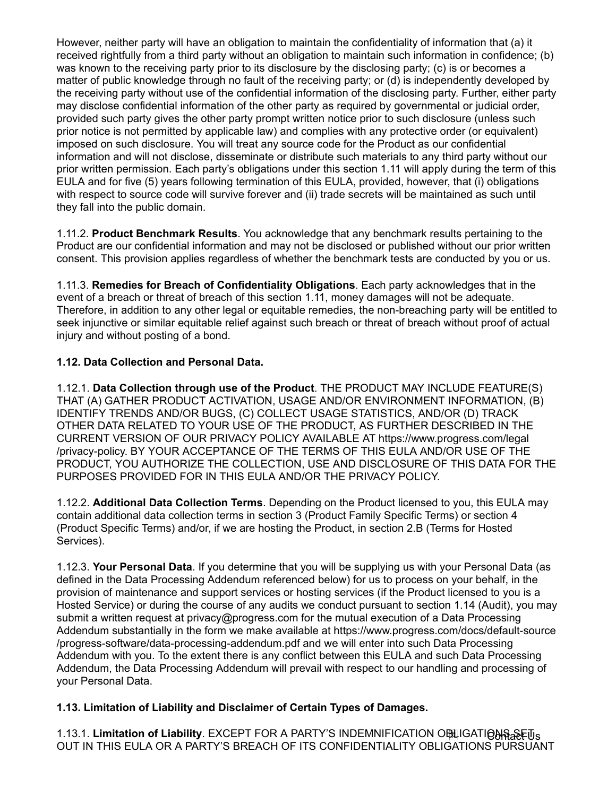However, neither party will have an obligation to maintain the confidentiality of information that (a) it received rightfully from a third party without an obligation to maintain such information in confidence; (b) was known to the receiving party prior to its disclosure by the disclosing party; (c) is or becomes a matter of public knowledge through no fault of the receiving party; or (d) is independently developed by the receiving party without use of the confidential information of the disclosing party. Further, either party may disclose confidential information of the other party as required by governmental or judicial order, provided such party gives the other party prompt written notice prior to such disclosure (unless such prior notice is not permitted by applicable law) and complies with any protective order (or equivalent) imposed on such disclosure. You will treat any source code for the Product as our confidential information and will not disclose, disseminate or distribute such materials to any third party without our prior written permission. Each party's obligations under this section 1.11 will apply during the term of this EULA and for five (5) years following termination of this EULA, provided, however, that (i) obligations with respect to source code will survive forever and (ii) trade secrets will be maintained as such until they fall into the public domain.

1.11.2. Product Benchmark Results. You acknowledge that any benchmark results pertaining to the Product are our confidential information and may not be disclosed or published without our prior written consent. This provision applies regardless of whether the benchmark tests are conducted by you or us.

1.11.3. Remedies for Breach of Confidentiality Obligations. Each party acknowledges that in the event of a breach or threat of breach of this section 1.11, money damages will not be adequate. Therefore, in addition to any other legal or equitable remedies, the non-breaching party will be entitled to seek injunctive or similar equitable relief against such breach or threat of breach without proof of actual injury and without posting of a bond.

## 1.12. Data Collection and Personal Data.

1.12.1. Data Collection through use of the Product. THE PRODUCT MAY INCLUDE FEATURE(S) THAT (A) GATHER PRODUCT ACTIVATION, USAGE AND/OR ENVIRONMENT INFORMATION, (B) IDENTIFY TRENDS AND/OR BUGS, (C) COLLECT USAGE STATISTICS, AND/OR (D) TRACK OTHER DATA RELATED TO YOUR USE OF THE PRODUCT, AS FURTHER DESCRIBED IN THE CURRENT VERSION OF OUR PRIVACY POLICY AVAILABLE AT https://www.progress.com/legal /privacy-policy. BY YOUR ACCEPTANCE OF THE TERMS OF THIS EULA AND/OR USE OF THE PRODUCT, YOU AUTHORIZE THE COLLECTION, USE AND DISCLOSURE OF THIS DATA FOR THE PURPOSES PROVIDED FOR IN THIS EULA AND/OR THE PRIVACY POLICY.

1.12.2. Additional Data Collection Terms. Depending on the Product licensed to you, this EULA may contain additional data collection terms in section 3 (Product Family Specific Terms) or section 4 (Product Specific Terms) and/or, if we are hosting the Product, in section 2.B (Terms for Hosted Services).

1.12.3. Your Personal Data. If you determine that you will be supplying us with your Personal Data (as defined in the Data Processing Addendum referenced below) for us to process on your behalf, in the provision of maintenance and support services or hosting services (if the Product licensed to you is a Hosted Service) or during the course of any audits we conduct pursuant to section 1.14 (Audit), you may submit a written request at privacy@progress.com for the mutual execution of a Data Processing Addendum substantially in the form we make available at https://www.progress.com/docs/default-source /progress-software/data-processing-addendum.pdf and we will enter into such Data Processing Addendum with you. To the extent there is any conflict between this EULA and such Data Processing Addendum, the Data Processing Addendum will prevail with respect to our handling and processing of your Personal Data.

## 1.13. Limitation of Liability and Disclaimer of Certain Types of Damages.

1.13.1. Limitation of Liability. EXCEPT FOR A PARTY'S INDEMNIFICATION O跑IGATI@N\$æEūs OUT IN THIS EULA OR A PARTY'S BREACH OF ITS CONFIDENTIALITY OBLIGATIONS PURSUANT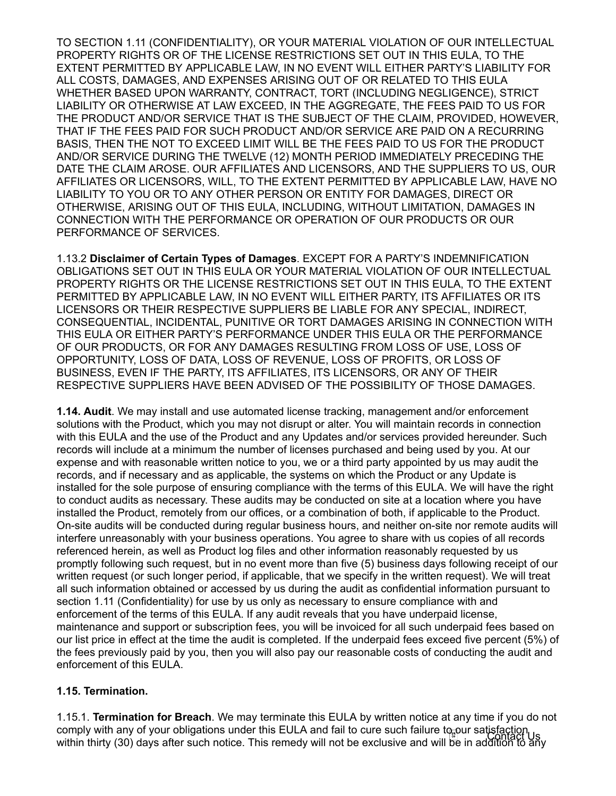TO SECTION 1.11 (CONFIDENTIALITY), OR YOUR MATERIAL VIOLATION OF OUR INTELLECTUAL PROPERTY RIGHTS OR OF THE LICENSE RESTRICTIONS SET OUT IN THIS EULA, TO THE EXTENT PERMITTED BY APPLICABLE LAW, IN NO EVENT WILL EITHER PARTY'S LIABILITY FOR ALL COSTS, DAMAGES, AND EXPENSES ARISING OUT OF OR RELATED TO THIS EULA WHETHER BASED UPON WARRANTY, CONTRACT, TORT (INCLUDING NEGLIGENCE), STRICT LIABILITY OR OTHERWISE AT LAW EXCEED, IN THE AGGREGATE, THE FEES PAID TO US FOR THE PRODUCT AND/OR SERVICE THAT IS THE SUBJECT OF THE CLAIM, PROVIDED, HOWEVER, THAT IF THE FEES PAID FOR SUCH PRODUCT AND/OR SERVICE ARE PAID ON A RECURRING BASIS, THEN THE NOT TO EXCEED LIMIT WILL BE THE FEES PAID TO US FOR THE PRODUCT AND/OR SERVICE DURING THE TWELVE (12) MONTH PERIOD IMMEDIATELY PRECEDING THE DATE THE CLAIM AROSE. OUR AFFILIATES AND LICENSORS, AND THE SUPPLIERS TO US, OUR AFFILIATES OR LICENSORS, WILL, TO THE EXTENT PERMITTED BY APPLICABLE LAW, HAVE NO LIABILITY TO YOU OR TO ANY OTHER PERSON OR ENTITY FOR DAMAGES, DIRECT OR OTHERWISE, ARISING OUT OF THIS EULA, INCLUDING, WITHOUT LIMITATION, DAMAGES IN CONNECTION WITH THE PERFORMANCE OR OPERATION OF OUR PRODUCTS OR OUR PERFORMANCE OF SERVICES.

1.13.2 Disclaimer of Certain Types of Damages. EXCEPT FOR A PARTY'S INDEMNIFICATION OBLIGATIONS SET OUT IN THIS EULA OR YOUR MATERIAL VIOLATION OF OUR INTELLECTUAL PROPERTY RIGHTS OR THE LICENSE RESTRICTIONS SET OUT IN THIS EULA, TO THE EXTENT PERMITTED BY APPLICABLE LAW, IN NO EVENT WILL EITHER PARTY, ITS AFFILIATES OR ITS LICENSORS OR THEIR RESPECTIVE SUPPLIERS BE LIABLE FOR ANY SPECIAL, INDIRECT, CONSEQUENTIAL, INCIDENTAL, PUNITIVE OR TORT DAMAGES ARISING IN CONNECTION WITH THIS EULA OR EITHER PARTY'S PERFORMANCE UNDER THIS EULA OR THE PERFORMANCE OF OUR PRODUCTS, OR FOR ANY DAMAGES RESULTING FROM LOSS OF USE, LOSS OF OPPORTUNITY, LOSS OF DATA, LOSS OF REVENUE, LOSS OF PROFITS, OR LOSS OF BUSINESS, EVEN IF THE PARTY, ITS AFFILIATES, ITS LICENSORS, OR ANY OF THEIR RESPECTIVE SUPPLIERS HAVE BEEN ADVISED OF THE POSSIBILITY OF THOSE DAMAGES.

**1.14. Audit.** We may install and use automated license tracking, management and/or enforcement solutions with the Product, which you may not disrupt or alter. You will maintain records in connection with this EULA and the use of the Product and any Updates and/or services provided hereunder. Such records will include at a minimum the number of licenses purchased and being used by you. At our expense and with reasonable written notice to you, we or a third party appointed by us may audit the records, and if necessary and as applicable, the systems on which the Product or any Update is installed for the sole purpose of ensuring compliance with the terms of this EULA. We will have the right to conduct audits as necessary. These audits may be conducted on site at a location where you have installed the Product, remotely from our offices, or a combination of both, if applicable to the Product. On-site audits will be conducted during regular business hours, and neither on-site nor remote audits will interfere unreasonably with your business operations. You agree to share with us copies of all records referenced herein, as well as Product log files and other information reasonably requested by us promptly following such request, but in no event more than five (5) business days following receipt of our written request (or such longer period, if applicable, that we specify in the written request). We will treat all such information obtained or accessed by us during the audit as confidential information pursuant to section 1.11 (Confidentiality) for use by us only as necessary to ensure compliance with and enforcement of the terms of this EULA. If any audit reveals that you have underpaid license, maintenance and support or subscription fees, you will be invoiced for all such underpaid fees based on our list price in effect at the time the audit is completed. If the underpaid fees exceed five percent (5%) of the fees previously paid by you, then you will also pay our reasonable costs of conducting the audit and enforcement of this EULA.

### 1.15. Termination.

1.15.1. Termination for Breach. We may terminate this EULA by written notice at any time if you do not comply with any of your obligations under this EULA and fail to cure such failure to our satisfaction within thirty (30) days after such notice. This remedy will not be exclusive and will be in addition to any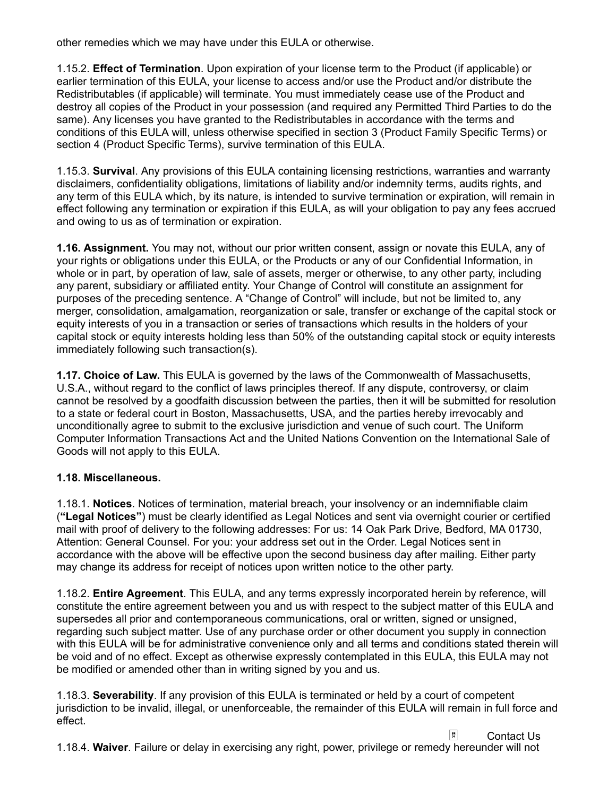other remedies which we may have under this EULA or otherwise.

1.15.2. Effect of Termination. Upon expiration of your license term to the Product (if applicable) or earlier termination of this EULA, your license to access and/or use the Product and/or distribute the Redistributables (if applicable) will terminate. You must immediately cease use of the Product and destroy all copies of the Product in your possession (and required any Permitted Third Parties to do the same). Any licenses you have granted to the Redistributables in accordance with the terms and conditions of this EULA will, unless otherwise specified in section 3 (Product Family Specific Terms) or section 4 (Product Specific Terms), survive termination of this EULA.

1.15.3. Survival. Any provisions of this EULA containing licensing restrictions, warranties and warranty disclaimers, confidentiality obligations, limitations of liability and/or indemnity terms, audits rights, and any term of this EULA which, by its nature, is intended to survive termination or expiration, will remain in effect following any termination or expiration if this EULA, as will your obligation to pay any fees accrued and owing to us as of termination or expiration.

1.16. Assignment. You may not, without our prior written consent, assign or novate this EULA, any of your rights or obligations under this EULA, or the Products or any of our Confidential Information, in whole or in part, by operation of law, sale of assets, merger or otherwise, to any other party, including any parent, subsidiary or affiliated entity. Your Change of Control will constitute an assignment for purposes of the preceding sentence. A "Change of Control" will include, but not be limited to, any merger, consolidation, amalgamation, reorganization or sale, transfer or exchange of the capital stock or equity interests of you in a transaction or series of transactions which results in the holders of your capital stock or equity interests holding less than 50% of the outstanding capital stock or equity interests immediately following such transaction(s).

1.17. Choice of Law. This EULA is governed by the laws of the Commonwealth of Massachusetts, U.S.A., without regard to the conflict of laws principles thereof. If any dispute, controversy, or claim cannot be resolved by a goodfaith discussion between the parties, then it will be submitted for resolution to a state or federal court in Boston, Massachusetts, USA, and the parties hereby irrevocably and unconditionally agree to submit to the exclusive jurisdiction and venue of such court. The Uniform Computer Information Transactions Act and the United Nations Convention on the International Sale of Goods will not apply to this EULA.

### 1.18. Miscellaneous.

1.18.1. Notices. Notices of termination, material breach, your insolvency or an indemnifiable claim ("Legal Notices") must be clearly identified as Legal Notices and sent via overnight courier or certified mail with proof of delivery to the following addresses: For us: 14 Oak Park Drive, Bedford, MA 01730, Attention: General Counsel. For you: your address set out in the Order. Legal Notices sent in accordance with the above will be effective upon the second business day after mailing. Either party may change its address for receipt of notices upon written notice to the other party.

1.18.2. Entire Agreement. This EULA, and any terms expressly incorporated herein by reference, will constitute the entire agreement between you and us with respect to the subject matter of this EULA and supersedes all prior and contemporaneous communications, oral or written, signed or unsigned, regarding such subject matter. Use of any purchase order or other document you supply in connection with this EULA will be for administrative convenience only and all terms and conditions stated therein will be void and of no effect. Except as otherwise expressly contemplated in this EULA, this EULA may not be modified or amended other than in writing signed by you and us.

1.18.3. Severability. If any provision of this EULA is terminated or held by a court of competent jurisdiction to be invalid, illegal, or unenforceable, the remainder of this EULA will remain in full force and effect.

 $\frac{54}{90}$ Contact Us1.18.4. Waiver. Failure or delay in exercising any right, power, privilege or remedy hereunder will not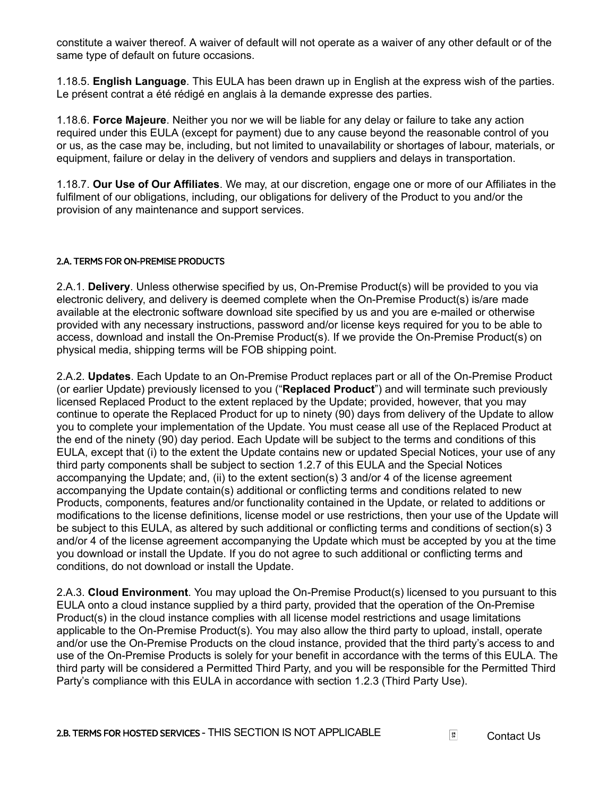constitute a waiver thereof. A waiver of default will not operate as a waiver of any other default or of the same type of default on future occasions.

1.18.5. English Language. This EULA has been drawn up in English at the express wish of the parties. Le présent contrat a été rédigé en anglais à la demande expresse des parties.

1.18.6. Force Majeure. Neither you nor we will be liable for any delay or failure to take any action required under this EULA (except for payment) due to any cause beyond the reasonable control of you or us, as the case may be, including, but not limited to unavailability or shortages of labour, materials, or equipment, failure or delay in the delivery of vendors and suppliers and delays in transportation.

1.18.7. Our Use of Our Affiliates. We may, at our discretion, engage one or more of our Affiliates in the fulfilment of our obligations, including, our obligations for delivery of the Product to you and/or the provision of any maintenance and support services.

#### 2.A. TERMS FOR ON-PREMISE PRODUCTS

2.A.1. Delivery. Unless otherwise specified by us, On-Premise Product(s) will be provided to you via electronic delivery, and delivery is deemed complete when the On-Premise Product(s) is/are made available at the electronic software download site specified by us and you are e-mailed or otherwise provided with any necessary instructions, password and/or license keys required for you to be able to access, download and install the On-Premise Product(s). If we provide the On-Premise Product(s) on physical media, shipping terms will be FOB shipping point.

2.A.2. **Updates**. Each Update to an On-Premise Product replaces part or all of the On-Premise Product (or earlier Update) previously licensed to you ("Replaced Product") and will terminate such previously licensed Replaced Product to the extent replaced by the Update; provided, however, that you may continue to operate the Replaced Product for up to ninety (90) days from delivery of the Update to allow you to complete your implementation of the Update. You must cease all use of the Replaced Product at the end of the ninety (90) day period. Each Update will be subject to the terms and conditions of this EULA, except that (i) to the extent the Update contains new or updated Special Notices, your use of any third party components shall be subject to section 1.2.7 of this EULA and the Special Notices accompanying the Update; and, (ii) to the extent section(s) 3 and/or 4 of the license agreement accompanying the Update contain(s) additional or conflicting terms and conditions related to new Products, components, features and/or functionality contained in the Update, or related to additions or modifications to the license definitions, license model or use restrictions, then your use of the Update will be subject to this EULA, as altered by such additional or conflicting terms and conditions of section(s) 3 and/or 4 of the license agreement accompanying the Update which must be accepted by you at the time you download or install the Update. If you do not agree to such additional or conflicting terms and conditions, do not download or install the Update.

2.A.3. Cloud Environment. You may upload the On-Premise Product(s) licensed to you pursuant to this EULA onto a cloud instance supplied by a third party, provided that the operation of the On-Premise Product(s) in the cloud instance complies with all license model restrictions and usage limitations applicable to the On-Premise Product(s). You may also allow the third party to upload, install, operate and/or use the On-Premise Products on the cloud instance, provided that the third party's access to and use of the On-Premise Products is solely for your benefit in accordance with the terms of this EULA. The third party will be considered a Permitted Third Party, and you will be responsible for the Permitted Third Party's compliance with this EULA in accordance with section 1.2.3 (Third Party Use).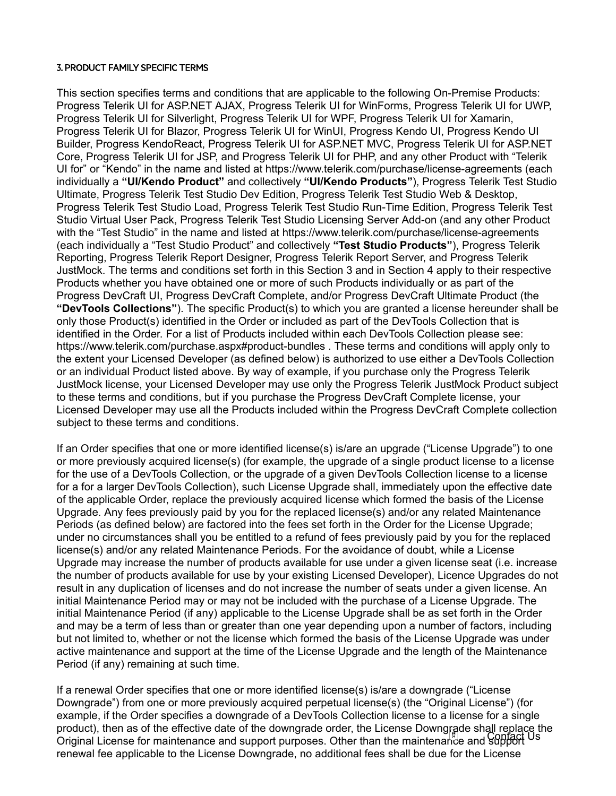#### 3. PRODUCT FAMILY SPECIFIC TERMS

This section specifies terms and conditions that are applicable to the following On-Premise Products: Progress Telerik UI for ASP.NET AJAX, Progress Telerik UI for WinForms, Progress Telerik UI for UWP, Progress Telerik UI for Silverlight, Progress Telerik UI for WPF, Progress Telerik UI for Xamarin, Progress Telerik UI for Blazor, Progress Telerik UI for WinUI, Progress Kendo UI, Progress Kendo UI Builder, Progress KendoReact, Progress Telerik UI for ASP.NET MVC, Progress Telerik UI for ASP.NET Core, Progress Telerik UI for JSP, and Progress Telerik UI for PHP, and any other Product with "Telerik UI for" or "Kendo" in the name and listed at https://www.telerik.com/purchase/license-agreements (each individually a "UI/Kendo Product" and collectively "UI/Kendo Products"), Progress Telerik Test Studio Ultimate, Progress Telerik Test Studio Dev Edition, Progress Telerik Test Studio Web & Desktop, Progress Telerik Test Studio Load, Progress Telerik Test Studio Run-Time Edition, Progress Telerik Test Studio Virtual User Pack, Progress Telerik Test Studio Licensing Server Add-on (and any other Product with the "Test Studio" in the name and listed at https://www.telerik.com/purchase/license-agreements (each individually a "Test Studio Product" and collectively "Test Studio Products"), Progress Telerik Reporting, Progress Telerik Report Designer, Progress Telerik Report Server, and Progress Telerik JustMock. The terms and conditions set forth in this Section 3 and in Section 4 apply to their respective Products whether you have obtained one or more of such Products individually or as part of the Progress DevCraft UI, Progress DevCraft Complete, and/or Progress DevCraft Ultimate Product (the "DevTools Collections"). The specific Product(s) to which you are granted a license hereunder shall be only those Product(s) identified in the Order or included as part of the DevTools Collection that is identified in the Order. For a list of Products included within each DevTools Collection please see: https://www.telerik.com/purchase.aspx#product-bundles . These terms and conditions will apply only to the extent your Licensed Developer (as defined below) is authorized to use either a DevTools Collection or an individual Product listed above. By way of example, if you purchase only the Progress Telerik JustMock license, your Licensed Developer may use only the Progress Telerik JustMock Product subject to these terms and conditions, but if you purchase the Progress DevCraft Complete license, your Licensed Developer may use all the Products included within the Progress DevCraft Complete collection subject to these terms and conditions.

If an Order specifies that one or more identified license(s) is/are an upgrade ("License Upgrade") to one or more previously acquired license(s) (for example, the upgrade of a single product license to a license for the use of a DevTools Collection, or the upgrade of a given DevTools Collection license to a license for a for a larger DevTools Collection), such License Upgrade shall, immediately upon the effective date of the applicable Order, replace the previously acquired license which formed the basis of the License Upgrade. Any fees previously paid by you for the replaced license(s) and/or any related Maintenance Periods (as defined below) are factored into the fees set forth in the Order for the License Upgrade; under no circumstances shall you be entitled to a refund of fees previously paid by you for the replaced license(s) and/or any related Maintenance Periods. For the avoidance of doubt, while a License Upgrade may increase the number of products available for use under a given license seat (i.e. increase the number of products available for use by your existing Licensed Developer), Licence Upgrades do not result in any duplication of licenses and do not increase the number of seats under a given license. An initial Maintenance Period may or may not be included with the purchase of a License Upgrade. The initial Maintenance Period (if any) applicable to the License Upgrade shall be as set forth in the Order and may be a term of less than or greater than one year depending upon a number of factors, including but not limited to, whether or not the license which formed the basis of the License Upgrade was under active maintenance and support at the time of the License Upgrade and the length of the Maintenance Period (if any) remaining at such time.

If a renewal Order specifies that one or more identified license(s) is/are a downgrade ("License Downgrade") from one or more previously acquired perpetual license(s) (the "Original License") (for example, if the Order specifies a downgrade of a DevTools Collection license to a license for a single product), then as of the effective date of the downgrade order, the License Downgrade shall replace the product), then as of the ensetted date of the domination stack, the Electric Doming the end copied Using the Original License for maintenance and support purposes. Other than the maintenance and support Using the Contact U renewal fee applicable to the License Downgrade, no additional fees shall be due for the License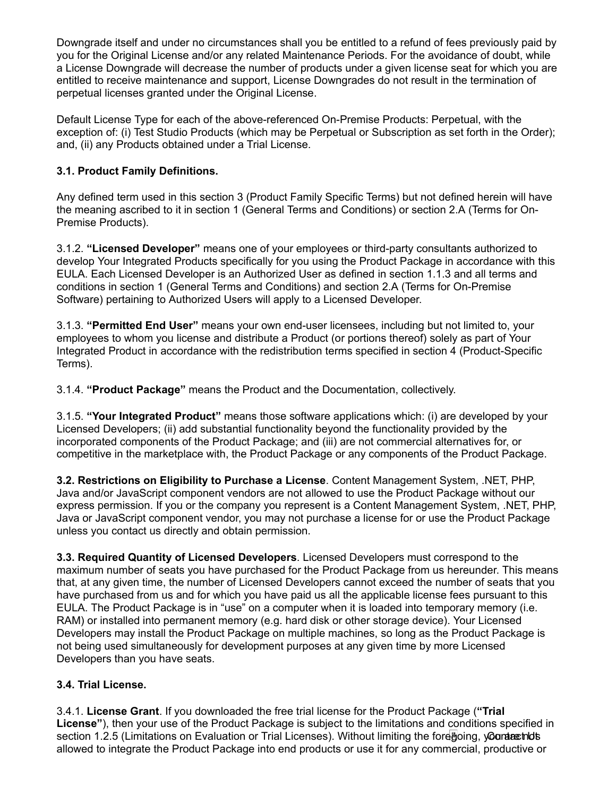Downgrade itself and under no circumstances shall you be entitled to a refund of fees previously paid by you for the Original License and/or any related Maintenance Periods. For the avoidance of doubt, while a License Downgrade will decrease the number of products under a given license seat for which you are entitled to receive maintenance and support, License Downgrades do not result in the termination of perpetual licenses granted under the Original License.

Default License Type for each of the above-referenced On-Premise Products: Perpetual, with the exception of: (i) Test Studio Products (which may be Perpetual or Subscription as set forth in the Order); and, (ii) any Products obtained under a Trial License.

## 3.1. Product Family Definitions.

Any defined term used in this section 3 (Product Family Specific Terms) but not defined herein will have the meaning ascribed to it in section 1 (General Terms and Conditions) or section 2.A (Terms for On-Premise Products).

3.1.2. "Licensed Developer" means one of your employees or third-party consultants authorized to develop Your Integrated Products specifically for you using the Product Package in accordance with this EULA. Each Licensed Developer is an Authorized User as defined in section 1.1.3 and all terms and conditions in section 1 (General Terms and Conditions) and section 2.A (Terms for On-Premise Software) pertaining to Authorized Users will apply to a Licensed Developer.

3.1.3. "Permitted End User" means your own end-user licensees, including but not limited to, your employees to whom you license and distribute a Product (or portions thereof) solely as part of Your Integrated Product in accordance with the redistribution terms specified in section 4 (Product-Specific Terms).

3.1.4. "Product Package" means the Product and the Documentation, collectively.

3.1.5. "Your Integrated Product" means those software applications which: (i) are developed by your Licensed Developers; (ii) add substantial functionality beyond the functionality provided by the incorporated components of the Product Package; and (iii) are not commercial alternatives for, or competitive in the marketplace with, the Product Package or any components of the Product Package.

3.2. Restrictions on Eligibility to Purchase a License. Content Management System, .NET, PHP, Java and/or JavaScript component vendors are not allowed to use the Product Package without our express permission. If you or the company you represent is a Content Management System, .NET, PHP, Java or JavaScript component vendor, you may not purchase a license for or use the Product Package unless you contact us directly and obtain permission.

3.3. Required Quantity of Licensed Developers. Licensed Developers must correspond to the maximum number of seats you have purchased for the Product Package from us hereunder. This means that, at any given time, the number of Licensed Developers cannot exceed the number of seats that you have purchased from us and for which you have paid us all the applicable license fees pursuant to this EULA. The Product Package is in "use" on a computer when it is loaded into temporary memory (i.e. RAM) or installed into permanent memory (e.g. hard disk or other storage device). Your Licensed Developers may install the Product Package on multiple machines, so long as the Product Package is not being used simultaneously for development purposes at any given time by more Licensed Developers than you have seats.

### 3.4. Trial License.

3.4.1. License Grant. If you downloaded the free trial license for the Product Package ("Trial License"), then your use of the Product Package is subject to the limitations and conditions specified in section 1.2.5 (Limitations on Evaluation or Trial Licenses). Without limiting the foregoing, y**∂ontærhots** allowed to integrate the Product Package into end products or use it for any commercial, productive or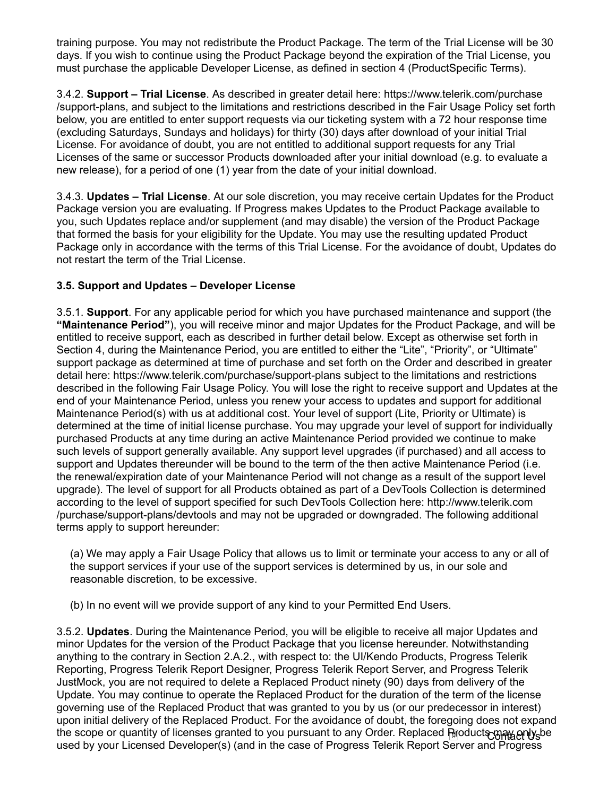training purpose. You may not redistribute the Product Package. The term of the Trial License will be 30 days. If you wish to continue using the Product Package beyond the expiration of the Trial License, you must purchase the applicable Developer License, as defined in section 4 (ProductSpecific Terms).

3.4.2. Support – Trial License. As described in greater detail here: https://www.telerik.com/purchase /support-plans, and subject to the limitations and restrictions described in the Fair Usage Policy set forth below, you are entitled to enter support requests via our ticketing system with a 72 hour response time (excluding Saturdays, Sundays and holidays) for thirty (30) days after download of your initial Trial License. For avoidance of doubt, you are not entitled to additional support requests for any Trial Licenses of the same or successor Products downloaded after your initial download (e.g. to evaluate a new release), for a period of one (1) year from the date of your initial download.

3.4.3. Updates – Trial License. At our sole discretion, you may receive certain Updates for the Product Package version you are evaluating. If Progress makes Updates to the Product Package available to you, such Updates replace and/or supplement (and may disable) the version of the Product Package that formed the basis for your eligibility for the Update. You may use the resulting updated Product Package only in accordance with the terms of this Trial License. For the avoidance of doubt, Updates do not restart the term of the Trial License.

## 3.5. Support and Updates – Developer License

3.5.1. Support. For any applicable period for which you have purchased maintenance and support (the "Maintenance Period"), you will receive minor and major Updates for the Product Package, and will be entitled to receive support, each as described in further detail below. Except as otherwise set forth in Section 4, during the Maintenance Period, you are entitled to either the "Lite", "Priority", or "Ultimate" support package as determined at time of purchase and set forth on the Order and described in greater detail here: https://www.telerik.com/purchase/support-plans subject to the limitations and restrictions described in the following Fair Usage Policy. You will lose the right to receive support and Updates at the end of your Maintenance Period, unless you renew your access to updates and support for additional Maintenance Period(s) with us at additional cost. Your level of support (Lite, Priority or Ultimate) is determined at the time of initial license purchase. You may upgrade your level of support for individually purchased Products at any time during an active Maintenance Period provided we continue to make such levels of support generally available. Any support level upgrades (if purchased) and all access to support and Updates thereunder will be bound to the term of the then active Maintenance Period (i.e. the renewal/expiration date of your Maintenance Period will not change as a result of the support level upgrade). The level of support for all Products obtained as part of a DevTools Collection is determined according to the level of support specified for such DevTools Collection here: http://www.telerik.com /purchase/support-plans/devtools and may not be upgraded or downgraded. The following additional terms apply to support hereunder:

(a) We may apply a Fair Usage Policy that allows us to limit or terminate your access to any or all of the support services if your use of the support services is determined by us, in our sole and reasonable discretion, to be excessive.

(b) In no event will we provide support of any kind to your Permitted End Users.

3.5.2. Updates. During the Maintenance Period, you will be eligible to receive all major Updates and minor Updates for the version of the Product Package that you license hereunder. Notwithstanding anything to the contrary in Section 2.A.2., with respect to: the UI/Kendo Products, Progress Telerik Reporting, Progress Telerik Report Designer, Progress Telerik Report Server, and Progress Telerik JustMock, you are not required to delete a Replaced Product ninety (90) days from delivery of the Update. You may continue to operate the Replaced Product for the duration of the term of the license governing use of the Replaced Product that was granted to you by us (or our predecessor in interest) upon initial delivery of the Replaced Product. For the avoidance of doubt, the foregoing does not expand the scope or quantity of licenses granted to you pursuant to any Order. Replaced Products may only be used by your Licensed Developer(s) (and in the case of Progress Telerik Report Server and Progress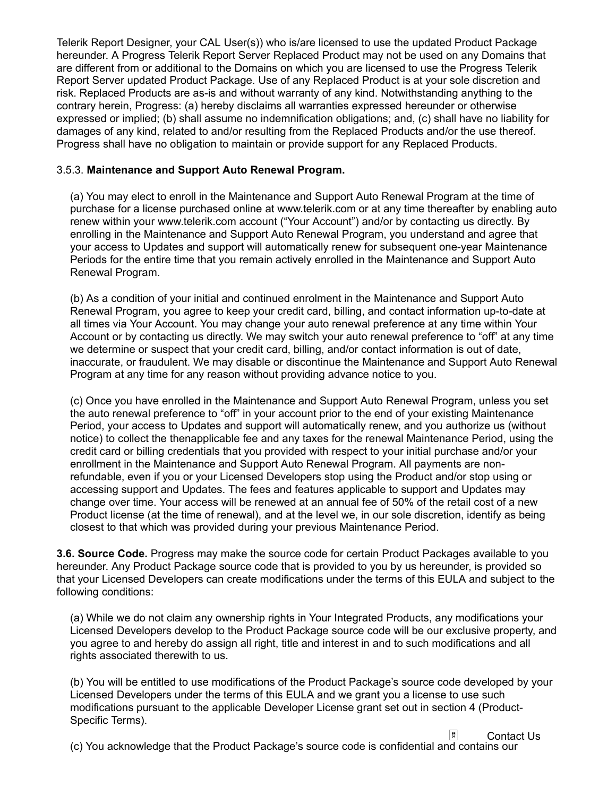Telerik Report Designer, your CAL User(s)) who is/are licensed to use the updated Product Package hereunder. A Progress Telerik Report Server Replaced Product may not be used on any Domains that are different from or additional to the Domains on which you are licensed to use the Progress Telerik Report Server updated Product Package. Use of any Replaced Product is at your sole discretion and risk. Replaced Products are as-is and without warranty of any kind. Notwithstanding anything to the contrary herein, Progress: (a) hereby disclaims all warranties expressed hereunder or otherwise expressed or implied; (b) shall assume no indemnification obligations; and, (c) shall have no liability for damages of any kind, related to and/or resulting from the Replaced Products and/or the use thereof. Progress shall have no obligation to maintain or provide support for any Replaced Products.

### 3.5.3. Maintenance and Support Auto Renewal Program.

(a) You may elect to enroll in the Maintenance and Support Auto Renewal Program at the time of purchase for a license purchased online at www.telerik.com or at any time thereafter by enabling auto renew within your www.telerik.com account ("Your Account") and/or by contacting us directly. By enrolling in the Maintenance and Support Auto Renewal Program, you understand and agree that your access to Updates and support will automatically renew for subsequent one-year Maintenance Periods for the entire time that you remain actively enrolled in the Maintenance and Support Auto Renewal Program.

(b) As a condition of your initial and continued enrolment in the Maintenance and Support Auto Renewal Program, you agree to keep your credit card, billing, and contact information up-to-date at all times via Your Account. You may change your auto renewal preference at any time within Your Account or by contacting us directly. We may switch your auto renewal preference to "off" at any time we determine or suspect that your credit card, billing, and/or contact information is out of date, inaccurate, or fraudulent. We may disable or discontinue the Maintenance and Support Auto Renewal Program at any time for any reason without providing advance notice to you.

(c) Once you have enrolled in the Maintenance and Support Auto Renewal Program, unless you set the auto renewal preference to "off" in your account prior to the end of your existing Maintenance Period, your access to Updates and support will automatically renew, and you authorize us (without notice) to collect the thenapplicable fee and any taxes for the renewal Maintenance Period, using the credit card or billing credentials that you provided with respect to your initial purchase and/or your enrollment in the Maintenance and Support Auto Renewal Program. All payments are nonrefundable, even if you or your Licensed Developers stop using the Product and/or stop using or accessing support and Updates. The fees and features applicable to support and Updates may change over time. Your access will be renewed at an annual fee of 50% of the retail cost of a new Product license (at the time of renewal), and at the level we, in our sole discretion, identify as being closest to that which was provided during your previous Maintenance Period.

3.6. Source Code. Progress may make the source code for certain Product Packages available to you hereunder. Any Product Package source code that is provided to you by us hereunder, is provided so that your Licensed Developers can create modifications under the terms of this EULA and subject to the following conditions:

(a) While we do not claim any ownership rights in Your Integrated Products, any modifications your Licensed Developers develop to the Product Package source code will be our exclusive property, and you agree to and hereby do assign all right, title and interest in and to such modifications and all rights associated therewith to us.

(b) You will be entitled to use modifications of the Product Package's source code developed by your Licensed Developers under the terms of this EULA and we grant you a license to use such modifications pursuant to the applicable Developer License grant set out in section 4 (Product-Specific Terms).

Contact Us

(c) You acknowledge that the Product Package's source code is confidential and contains our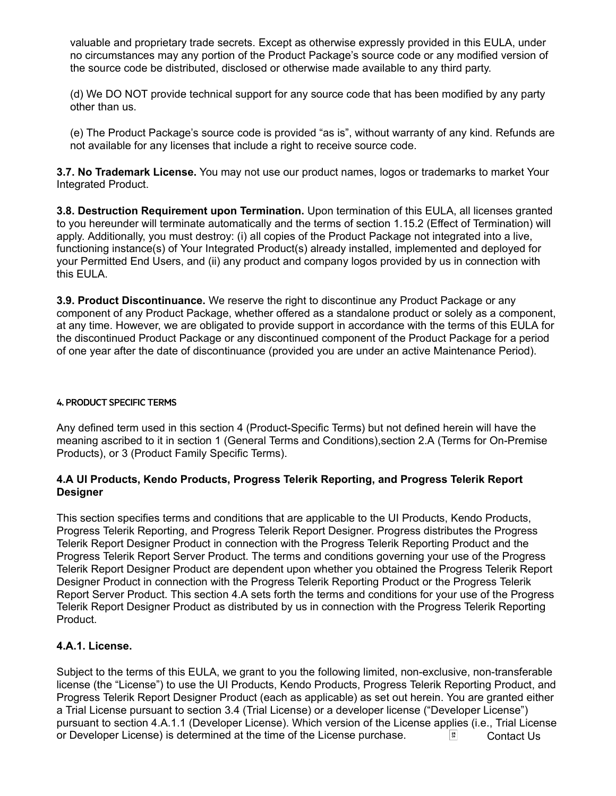valuable and proprietary trade secrets. Except as otherwise expressly provided in this EULA, under no circumstances may any portion of the Product Package's source code or any modified version of the source code be distributed, disclosed or otherwise made available to any third party.

(d) We DO NOT provide technical support for any source code that has been modified by any party other than us.

(e) The Product Package's source code is provided "as is", without warranty of any kind. Refunds are not available for any licenses that include a right to receive source code.

3.7. No Trademark License. You may not use our product names, logos or trademarks to market Your Integrated Product.

3.8. Destruction Requirement upon Termination. Upon termination of this EULA, all licenses granted to you hereunder will terminate automatically and the terms of section 1.15.2 (Effect of Termination) will apply. Additionally, you must destroy: (i) all copies of the Product Package not integrated into a live, functioning instance(s) of Your Integrated Product(s) already installed, implemented and deployed for your Permitted End Users, and (ii) any product and company logos provided by us in connection with this EULA.

**3.9. Product Discontinuance.** We reserve the right to discontinue any Product Package or any component of any Product Package, whether offered as a standalone product or solely as a component, at any time. However, we are obligated to provide support in accordance with the terms of this EULA for the discontinued Product Package or any discontinued component of the Product Package for a period of one year after the date of discontinuance (provided you are under an active Maintenance Period).

#### 4. PRODUCT SPECIFIC TERMS

Any defined term used in this section 4 (Product-Specific Terms) but not defined herein will have the meaning ascribed to it in section 1 (General Terms and Conditions),section 2.A (Terms for On-Premise Products), or 3 (Product Family Specific Terms).

#### 4.A UI Products, Kendo Products, Progress Telerik Reporting, and Progress Telerik Report Designer

This section specifies terms and conditions that are applicable to the UI Products, Kendo Products, Progress Telerik Reporting, and Progress Telerik Report Designer. Progress distributes the Progress Telerik Report Designer Product in connection with the Progress Telerik Reporting Product and the Progress Telerik Report Server Product. The terms and conditions governing your use of the Progress Telerik Report Designer Product are dependent upon whether you obtained the Progress Telerik Report Designer Product in connection with the Progress Telerik Reporting Product or the Progress Telerik Report Server Product. This section 4.A sets forth the terms and conditions for your use of the Progress Telerik Report Designer Product as distributed by us in connection with the Progress Telerik Reporting Product.

### 4.A.1. License.

Subject to the terms of this EULA, we grant to you the following limited, non-exclusive, non-transferable license (the "License") to use the UI Products, Kendo Products, Progress Telerik Reporting Product, and Progress Telerik Report Designer Product (each as applicable) as set out herein. You are granted either a Trial License pursuant to section 3.4 (Trial License) or a developer license ("Developer License") pursuant to section 4.A.1.1 (Developer License). Which version of the License applies (i.e., Trial License or Developer License) is determined at the time of the License purchase.  $\begin{array}{c} \hline \end{array}$  Contact Us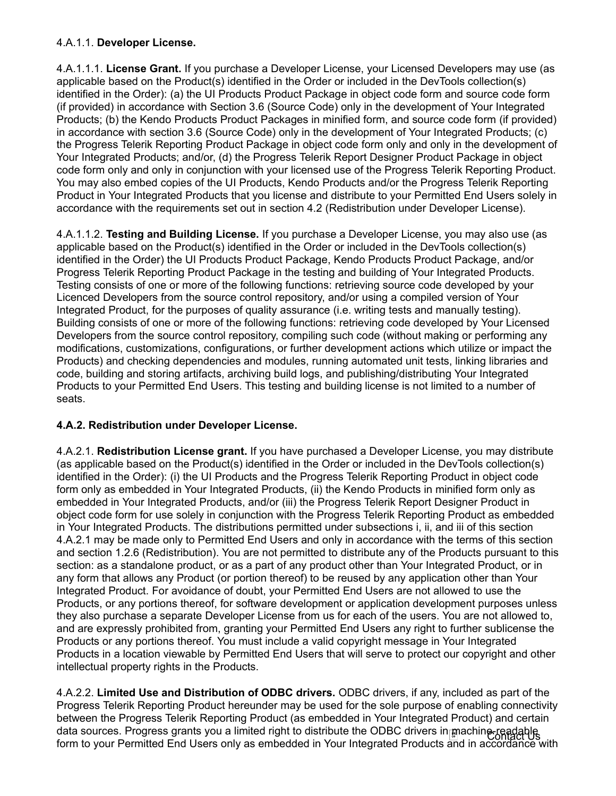## 4.A.1.1. Developer License.

4.A.1.1.1. License Grant. If you purchase a Developer License, your Licensed Developers may use (as applicable based on the Product(s) identified in the Order or included in the DevTools collection(s) identified in the Order): (a) the UI Products Product Package in object code form and source code form (if provided) in accordance with Section 3.6 (Source Code) only in the development of Your Integrated Products; (b) the Kendo Products Product Packages in minified form, and source code form (if provided) in accordance with section 3.6 (Source Code) only in the development of Your Integrated Products; (c) the Progress Telerik Reporting Product Package in object code form only and only in the development of Your Integrated Products; and/or, (d) the Progress Telerik Report Designer Product Package in object code form only and only in conjunction with your licensed use of the Progress Telerik Reporting Product. You may also embed copies of the UI Products, Kendo Products and/or the Progress Telerik Reporting Product in Your Integrated Products that you license and distribute to your Permitted End Users solely in accordance with the requirements set out in section 4.2 (Redistribution under Developer License).

4.A.1.1.2. Testing and Building License. If you purchase a Developer License, you may also use (as applicable based on the Product(s) identified in the Order or included in the DevTools collection(s) identified in the Order) the UI Products Product Package, Kendo Products Product Package, and/or Progress Telerik Reporting Product Package in the testing and building of Your Integrated Products. Testing consists of one or more of the following functions: retrieving source code developed by your Licenced Developers from the source control repository, and/or using a compiled version of Your Integrated Product, for the purposes of quality assurance (i.e. writing tests and manually testing). Building consists of one or more of the following functions: retrieving code developed by Your Licensed Developers from the source control repository, compiling such code (without making or performing any modifications, customizations, configurations, or further development actions which utilize or impact the Products) and checking dependencies and modules, running automated unit tests, linking libraries and code, building and storing artifacts, archiving build logs, and publishing/distributing Your Integrated Products to your Permitted End Users. This testing and building license is not limited to a number of seats.

## 4.A.2. Redistribution under Developer License.

4.A.2.1. Redistribution License grant. If you have purchased a Developer License, you may distribute (as applicable based on the Product(s) identified in the Order or included in the DevTools collection(s) identified in the Order): (i) the UI Products and the Progress Telerik Reporting Product in object code form only as embedded in Your Integrated Products, (ii) the Kendo Products in minified form only as embedded in Your Integrated Products, and/or (iii) the Progress Telerik Report Designer Product in object code form for use solely in conjunction with the Progress Telerik Reporting Product as embedded in Your Integrated Products. The distributions permitted under subsections i, ii, and iii of this section 4.A.2.1 may be made only to Permitted End Users and only in accordance with the terms of this section and section 1.2.6 (Redistribution). You are not permitted to distribute any of the Products pursuant to this section: as a standalone product, or as a part of any product other than Your Integrated Product, or in any form that allows any Product (or portion thereof) to be reused by any application other than Your Integrated Product. For avoidance of doubt, your Permitted End Users are not allowed to use the Products, or any portions thereof, for software development or application development purposes unless they also purchase a separate Developer License from us for each of the users. You are not allowed to, and are expressly prohibited from, granting your Permitted End Users any right to further sublicense the Products or any portions thereof. You must include a valid copyright message in Your Integrated Products in a location viewable by Permitted End Users that will serve to protect our copyright and other intellectual property rights in the Products.

4.A.2.2. Limited Use and Distribution of ODBC drivers. ODBC drivers, if any, included as part of the Progress Telerik Reporting Product hereunder may be used for the sole purpose of enabling connectivity between the Progress Telerik Reporting Product (as embedded in Your Integrated Product) and certain data sources. Progress grants you a limited right to distribute the ODBC drivers in machine-readable. form to your Permitted End Users only as embedded in Your Integrated Products and in accordance with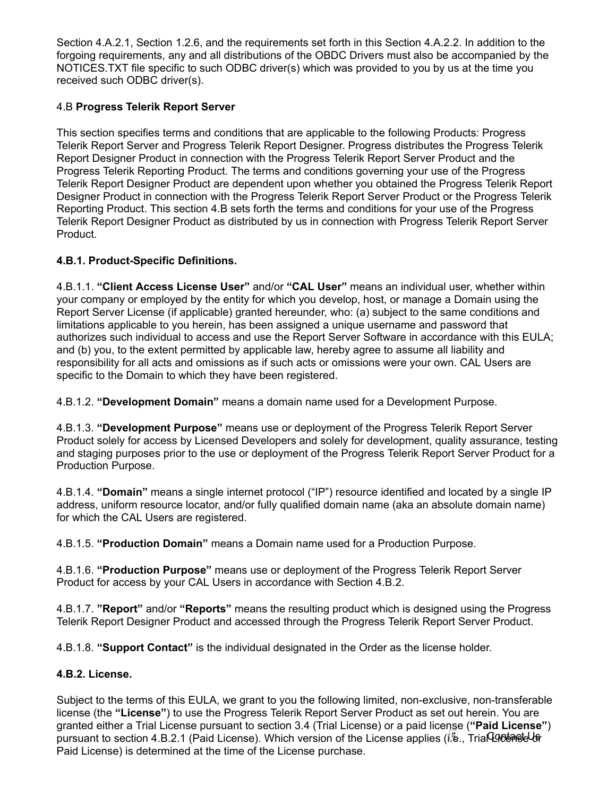Section 4.A.2.1, Section 1.2.6, and the requirements set forth in this Section 4.A.2.2. In addition to the forgoing requirements, any and all distributions of the OBDC Drivers must also be accompanied by the NOTICES.TXT file specific to such ODBC driver(s) which was provided to you by us at the time you received such ODBC driver(s).

## 4.B Progress Telerik Report Server

This section specifies terms and conditions that are applicable to the following Products: Progress Telerik Report Server and Progress Telerik Report Designer. Progress distributes the Progress Telerik Report Designer Product in connection with the Progress Telerik Report Server Product and the Progress Telerik Reporting Product. The terms and conditions governing your use of the Progress Telerik Report Designer Product are dependent upon whether you obtained the Progress Telerik Report Designer Product in connection with the Progress Telerik Report Server Product or the Progress Telerik Reporting Product. This section 4.B sets forth the terms and conditions for your use of the Progress Telerik Report Designer Product as distributed by us in connection with Progress Telerik Report Server Product.

## 4.B.1. Product-Specific Definitions.

4.B.1.1. "Client Access License User" and/or "CAL User" means an individual user, whether within your company or employed by the entity for which you develop, host, or manage a Domain using the Report Server License (if applicable) granted hereunder, who: (a) subject to the same conditions and limitations applicable to you herein, has been assigned a unique username and password that authorizes such individual to access and use the Report Server Software in accordance with this EULA; and (b) you, to the extent permitted by applicable law, hereby agree to assume all liability and responsibility for all acts and omissions as if such acts or omissions were your own. CAL Users are specific to the Domain to which they have been registered.

4.B.1.2. "Development Domain" means a domain name used for a Development Purpose.

4.B.1.3. "Development Purpose" means use or deployment of the Progress Telerik Report Server Product solely for access by Licensed Developers and solely for development, quality assurance, testing and staging purposes prior to the use or deployment of the Progress Telerik Report Server Product for a Production Purpose.

4.B.1.4. "Domain" means a single internet protocol ("IP") resource identified and located by a single IP address, uniform resource locator, and/or fully qualified domain name (aka an absolute domain name) for which the CAL Users are registered.

4.B.1.5. "Production Domain" means a Domain name used for a Production Purpose.

4.B.1.6. "Production Purpose" means use or deployment of the Progress Telerik Report Server Product for access by your CAL Users in accordance with Section 4.B.2.

4.B.1.7. "Report" and/or "Reports" means the resulting product which is designed using the Progress Telerik Report Designer Product and accessed through the Progress Telerik Report Server Product.

4.B.1.8. "Support Contact" is the individual designated in the Order as the license holder.

## 4.B.2. License.

Subject to the terms of this EULA, we grant to you the following limited, non-exclusive, non-transferable license (the "License") to use the Progress Telerik Report Server Product as set out herein. You are granted either a Trial License pursuant to section 3.4 (Trial License) or a paid license ("Paid License") pursuant to section 4.B.2.1 (Paid License). Which version of the License applies (i.e., Trial License of the  $\ell$ Paid License) is determined at the time of the License purchase.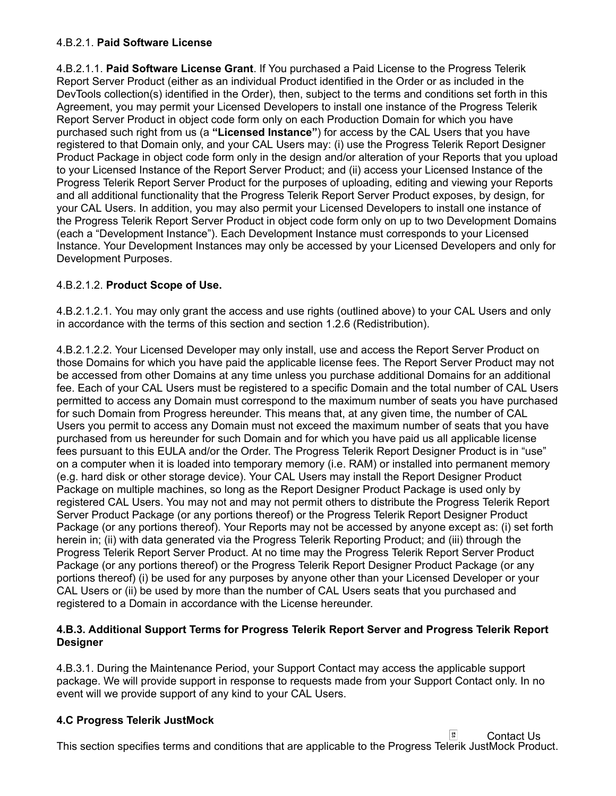### 4.B.2.1. Paid Software License

4.B.2.1.1. Paid Software License Grant. If You purchased a Paid License to the Progress Telerik Report Server Product (either as an individual Product identified in the Order or as included in the DevTools collection(s) identified in the Order), then, subject to the terms and conditions set forth in this Agreement, you may permit your Licensed Developers to install one instance of the Progress Telerik Report Server Product in object code form only on each Production Domain for which you have purchased such right from us (a "Licensed Instance") for access by the CAL Users that you have registered to that Domain only, and your CAL Users may: (i) use the Progress Telerik Report Designer Product Package in object code form only in the design and/or alteration of your Reports that you upload to your Licensed Instance of the Report Server Product; and (ii) access your Licensed Instance of the Progress Telerik Report Server Product for the purposes of uploading, editing and viewing your Reports and all additional functionality that the Progress Telerik Report Server Product exposes, by design, for your CAL Users. In addition, you may also permit your Licensed Developers to install one instance of the Progress Telerik Report Server Product in object code form only on up to two Development Domains (each a "Development Instance"). Each Development Instance must corresponds to your Licensed Instance. Your Development Instances may only be accessed by your Licensed Developers and only for Development Purposes.

## 4.B.2.1.2. Product Scope of Use.

4.B.2.1.2.1. You may only grant the access and use rights (outlined above) to your CAL Users and only in accordance with the terms of this section and section 1.2.6 (Redistribution).

4.B.2.1.2.2. Your Licensed Developer may only install, use and access the Report Server Product on those Domains for which you have paid the applicable license fees. The Report Server Product may not be accessed from other Domains at any time unless you purchase additional Domains for an additional fee. Each of your CAL Users must be registered to a specific Domain and the total number of CAL Users permitted to access any Domain must correspond to the maximum number of seats you have purchased for such Domain from Progress hereunder. This means that, at any given time, the number of CAL Users you permit to access any Domain must not exceed the maximum number of seats that you have purchased from us hereunder for such Domain and for which you have paid us all applicable license fees pursuant to this EULA and/or the Order. The Progress Telerik Report Designer Product is in "use" on a computer when it is loaded into temporary memory (i.e. RAM) or installed into permanent memory (e.g. hard disk or other storage device). Your CAL Users may install the Report Designer Product Package on multiple machines, so long as the Report Designer Product Package is used only by registered CAL Users. You may not and may not permit others to distribute the Progress Telerik Report Server Product Package (or any portions thereof) or the Progress Telerik Report Designer Product Package (or any portions thereof). Your Reports may not be accessed by anyone except as: (i) set forth herein in; (ii) with data generated via the Progress Telerik Reporting Product; and (iii) through the Progress Telerik Report Server Product. At no time may the Progress Telerik Report Server Product Package (or any portions thereof) or the Progress Telerik Report Designer Product Package (or any portions thereof) (i) be used for any purposes by anyone other than your Licensed Developer or your CAL Users or (ii) be used by more than the number of CAL Users seats that you purchased and registered to a Domain in accordance with the License hereunder.

## 4.B.3. Additional Support Terms for Progress Telerik Report Server and Progress Telerik Report Designer

4.B.3.1. During the Maintenance Period, your Support Contact may access the applicable support package. We will provide support in response to requests made from your Support Contact only. In no event will we provide support of any kind to your CAL Users.

## 4.C Progress Telerik JustMock

 $\frac{54}{90}$ Contact UsThis section specifies terms and conditions that are applicable to the Progress Telerik JustMock Product.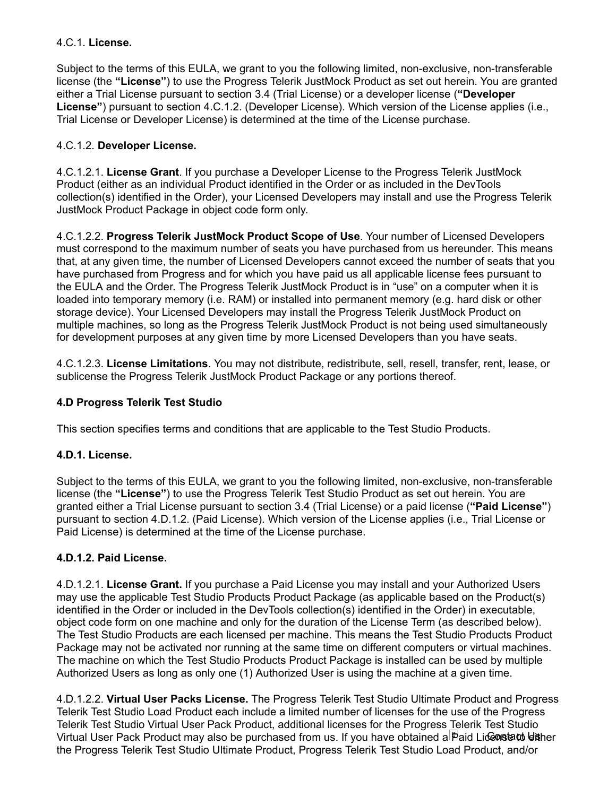## 4.C.1. License.

Subject to the terms of this EULA, we grant to you the following limited, non-exclusive, non-transferable license (the "License") to use the Progress Telerik JustMock Product as set out herein. You are granted either a Trial License pursuant to section 3.4 (Trial License) or a developer license ("Developer License") pursuant to section 4.C.1.2. (Developer License). Which version of the License applies (i.e., Trial License or Developer License) is determined at the time of the License purchase.

## 4.C.1.2. Developer License.

4.C.1.2.1. License Grant. If you purchase a Developer License to the Progress Telerik JustMock Product (either as an individual Product identified in the Order or as included in the DevTools collection(s) identified in the Order), your Licensed Developers may install and use the Progress Telerik JustMock Product Package in object code form only.

4.C.1.2.2. Progress Telerik JustMock Product Scope of Use. Your number of Licensed Developers must correspond to the maximum number of seats you have purchased from us hereunder. This means that, at any given time, the number of Licensed Developers cannot exceed the number of seats that you have purchased from Progress and for which you have paid us all applicable license fees pursuant to the EULA and the Order. The Progress Telerik JustMock Product is in "use" on a computer when it is loaded into temporary memory (i.e. RAM) or installed into permanent memory (e.g. hard disk or other storage device). Your Licensed Developers may install the Progress Telerik JustMock Product on multiple machines, so long as the Progress Telerik JustMock Product is not being used simultaneously for development purposes at any given time by more Licensed Developers than you have seats.

4.C.1.2.3. License Limitations. You may not distribute, redistribute, sell, resell, transfer, rent, lease, or sublicense the Progress Telerik JustMock Product Package or any portions thereof.

## 4.D Progress Telerik Test Studio

This section specifies terms and conditions that are applicable to the Test Studio Products.

## 4.D.1. License.

Subject to the terms of this EULA, we grant to you the following limited, non-exclusive, non-transferable license (the "License") to use the Progress Telerik Test Studio Product as set out herein. You are granted either a Trial License pursuant to section 3.4 (Trial License) or a paid license ("Paid License") pursuant to section 4.D.1.2. (Paid License). Which version of the License applies (i.e., Trial License or Paid License) is determined at the time of the License purchase.

### 4.D.1.2. Paid License.

4.D.1.2.1. License Grant. If you purchase a Paid License you may install and your Authorized Users may use the applicable Test Studio Products Product Package (as applicable based on the Product(s) identified in the Order or included in the DevTools collection(s) identified in the Order) in executable, object code form on one machine and only for the duration of the License Term (as described below). The Test Studio Products are each licensed per machine. This means the Test Studio Products Product Package may not be activated nor running at the same time on different computers or virtual machines. The machine on which the Test Studio Products Product Package is installed can be used by multiple Authorized Users as long as only one (1) Authorized User is using the machine at a given time.

4.D.1.2.2. Virtual User Packs License. The Progress Telerik Test Studio Ultimate Product and Progress Telerik Test Studio Load Product each include a limited number of licenses for the use of the Progress Telerik Test Studio Virtual User Pack Product, additional licenses for the Progress Telerik Test Studio Virtual User Pack Product may also be purchased from us. If you have obtained a $\mathbb B$ aid Li**œnstato ⊌is**her the Progress Telerik Test Studio Ultimate Product, Progress Telerik Test Studio Load Product, and/or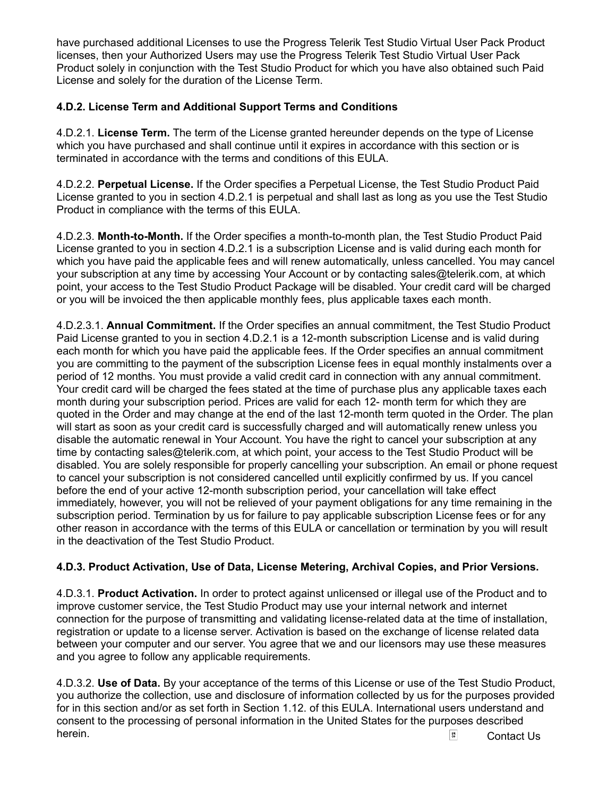have purchased additional Licenses to use the Progress Telerik Test Studio Virtual User Pack Product licenses, then your Authorized Users may use the Progress Telerik Test Studio Virtual User Pack Product solely in conjunction with the Test Studio Product for which you have also obtained such Paid License and solely for the duration of the License Term.

## 4.D.2. License Term and Additional Support Terms and Conditions

4.D.2.1. License Term. The term of the License granted hereunder depends on the type of License which you have purchased and shall continue until it expires in accordance with this section or is terminated in accordance with the terms and conditions of this EULA.

4.D.2.2. Perpetual License. If the Order specifies a Perpetual License, the Test Studio Product Paid License granted to you in section 4.D.2.1 is perpetual and shall last as long as you use the Test Studio Product in compliance with the terms of this EULA.

4.D.2.3. Month-to-Month. If the Order specifies a month-to-month plan, the Test Studio Product Paid License granted to you in section 4.D.2.1 is a subscription License and is valid during each month for which you have paid the applicable fees and will renew automatically, unless cancelled. You may cancel your subscription at any time by accessing Your Account or by contacting sales@telerik.com, at which point, your access to the Test Studio Product Package will be disabled. Your credit card will be charged or you will be invoiced the then applicable monthly fees, plus applicable taxes each month.

4.D.2.3.1. Annual Commitment. If the Order specifies an annual commitment, the Test Studio Product Paid License granted to you in section 4.D.2.1 is a 12-month subscription License and is valid during each month for which you have paid the applicable fees. If the Order specifies an annual commitment you are committing to the payment of the subscription License fees in equal monthly instalments over a period of 12 months. You must provide a valid credit card in connection with any annual commitment. Your credit card will be charged the fees stated at the time of purchase plus any applicable taxes each month during your subscription period. Prices are valid for each 12- month term for which they are quoted in the Order and may change at the end of the last 12-month term quoted in the Order. The plan will start as soon as your credit card is successfully charged and will automatically renew unless you disable the automatic renewal in Your Account. You have the right to cancel your subscription at any time by contacting sales@telerik.com, at which point, your access to the Test Studio Product will be disabled. You are solely responsible for properly cancelling your subscription. An email or phone request to cancel your subscription is not considered cancelled until explicitly confirmed by us. If you cancel before the end of your active 12-month subscription period, your cancellation will take effect immediately, however, you will not be relieved of your payment obligations for any time remaining in the subscription period. Termination by us for failure to pay applicable subscription License fees or for any other reason in accordance with the terms of this EULA or cancellation or termination by you will result in the deactivation of the Test Studio Product.

# 4.D.3. Product Activation, Use of Data, License Metering, Archival Copies, and Prior Versions.

4.D.3.1. Product Activation. In order to protect against unlicensed or illegal use of the Product and to improve customer service, the Test Studio Product may use your internal network and internet connection for the purpose of transmitting and validating license-related data at the time of installation, registration or update to a license server. Activation is based on the exchange of license related data between your computer and our server. You agree that we and our licensors may use these measures and you agree to follow any applicable requirements.

4.D.3.2. Use of Data. By your acceptance of the terms of this License or use of the Test Studio Product, you authorize the collection, use and disclosure of information collected by us for the purposes provided for in this section and/or as set forth in Section 1.12. of this EULA. International users understand and consent to the processing of personal information in the United States for the purposes described **herein.** Contact Us